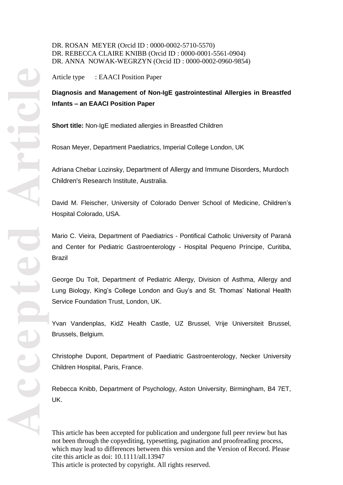DR. ROSAN MEYER (Orcid ID : 0000 -0002 -5710 -5570) DR. REBECCA CLAIRE KNIBB (Orcid ID : 0000 -0001 -5561 -0904) DR. ANNA NOWAK-WEGRZYN (Orcid ID : 0000-0002-0960-9854)

Article type : EAACI Position Paper

# **Diagnosis and Management of Non -IgE gastrointestinal Allergies in Breastfed Infants – an EAACI Position Paper**

**Short title:** Non -IgE mediated allergies in Breastfed Children

Rosan Meyer, Department Paediatrics, Imperial College London, UK

Adriana Chebar Lozinsky, Department of Allergy and Immune Disorders, Murdoch Children's Research Institute, Australia .

David M. Fleischer, University of Colorado Denver School of Medicine , Children's Hospital Colorado, USA.

Mario C. Vieira, Department of Paediatrics - Pontifical Catholic University of Paraná and Center for Pediatric Gastroenterology - Hospital Pequeno Príncipe, Curitiba, Brazil

George Du Toit, Department of Pediatric Allergy, Division of Asthma, Allergy and Lung Biology, King's College London and Guy's and St. Thomas' National Health Service Foundation Trust, London, UK .

Yvan Vandenplas, KidZ Health Castle, UZ Brussel, Vrije Universiteit Brussel, Brussels, Belgium .

Christophe Dupont, Department of Paediatric Gastroenterology, Necker University Children Hospital, Paris, France .

Rebecca Knibb, Department of Psychology, Aston University, Birmingham, B4 7ET, UK .

This article has been accepted for publication and undergone full peer review but has not been through the copyediting, typesetting, pagination and proofreading process, which may lead to differences between this version and the Version of Record. Please cite this article as doi: 10.1111/all.13947 This article is protected by copyright. All rights reserved.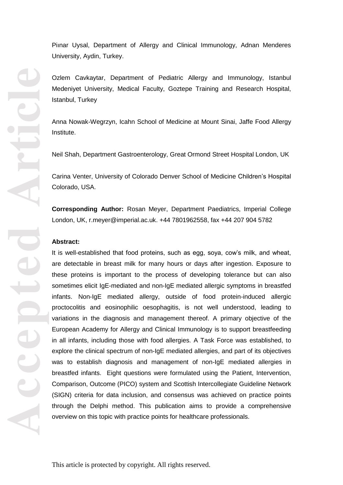University, Aydin, Turkey .

Ozlem Cavkaytar, Department of Pediatric Allergy and Immunology, Istanbul Medeniyet University, Medical Faculty, Goztepe Training and Research Hospital, Istanbul, Turkey

Anna Nowak -Wegrzyn, Icahn School of Medicine at Mount Sinai, Jaffe Food Allergy Institute .

Neil Shah, Department Gastroenterology, Great Ormond Street Hospital London, UK

Carina Venter, University of Colorado Denver School of Medicine Children's Hospital Colorado, USA .

**Corresponding Author:** Rosan Meyer, Department Paediatrics, Imperial College London, UK, r.meyer@imperial.ac.uk. +44 7801962558, fax +44 207 904 5782

#### **Abstract:**

Pinar Uysal, Department of Allergy and Clinical Immunology, Adnan Menderes<br>
Diniversity, Aydn, Turkey.<br>
Medeniyet University, Aydn, Turkey.<br>
Medeniyet University, Aydn, Turkey.<br>
Medeniyet University, Medical Faculty, Gozte It is well -established that food proteins, such as egg, soya, cow's milk, and wheat, are detectable in breast milk for many hours or days after ingestion. Exposure to these proteins is important to the process of developing tolerance but can also sometimes elicit IgE -mediated and non -IgE mediated allergic symptoms in breastfed infants. Non -IgE mediated allergy, outside of food protein -induced allergic proctocolitis and eosinophilic oesophagitis, is not well understood, leading to variations in the diagnosis and management thereof. A primary objective of the European Academy for Allergy and Clinical Immunology is to support breastfeeding in all infants, including those with food allergies. A Task Force was established, to explore the clinical spectrum of non -IgE mediated allergies, and part of its objectives was to establish diagnosis and management of non -IgE mediated allergies in breastfed infants. Eight questions were formulated using the Patient, Intervention, Comparison, Outcome (PICO ) system and Scottish Intercollegiate Guideline Network (SIGN) criteria for data inclusion, and consensus was achieved on practice points through the Delphi method. This publication aims to provide a comprehensive overview on this topic with practice points for healthcare professionals.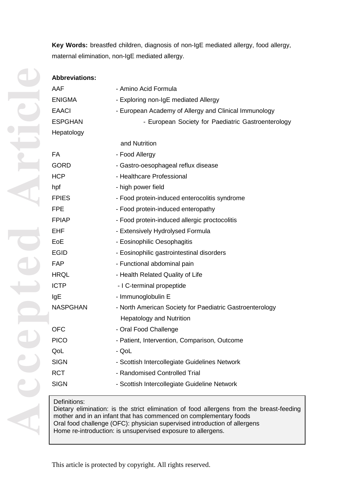**Key Words:** breastfed children, diagnosis of non -IgE mediated allergy, food allergy, maternal elimination, non -IgE mediated allergy .

| <b>Abbreviations:</b> |                                                          |  |  |
|-----------------------|----------------------------------------------------------|--|--|
| AAF                   | - Amino Acid Formula                                     |  |  |
| <b>ENIGMA</b>         | - Exploring non-IgE mediated Allergy                     |  |  |
| <b>EAACI</b>          | - European Academy of Allergy and Clinical Immunology    |  |  |
| <b>ESPGHAN</b>        | - European Society for Paediatric Gastroenterology       |  |  |
| Hepatology            |                                                          |  |  |
|                       | and Nutrition                                            |  |  |
| <b>FA</b>             | - Food Allergy                                           |  |  |
| <b>GORD</b>           | - Gastro-oesophageal reflux disease                      |  |  |
| <b>HCP</b>            | - Healthcare Professional                                |  |  |
| hpf                   | - high power field                                       |  |  |
| <b>FPIES</b>          | - Food protein-induced enterocolitis syndrome            |  |  |
| <b>FPE</b>            | - Food protein-induced enteropathy                       |  |  |
| <b>FPIAP</b>          | - Food protein-induced allergic proctocolitis            |  |  |
| <b>EHF</b>            | - Extensively Hydrolysed Formula                         |  |  |
| EoE                   | - Eosinophilic Oesophagitis                              |  |  |
| <b>EGID</b>           | - Eosinophilic gastrointestinal disorders                |  |  |
| FAP                   | - Functional abdominal pain                              |  |  |
| <b>HRQL</b>           | - Health Related Quality of Life                         |  |  |
| <b>ICTP</b>           | - I C-terminal propeptide                                |  |  |
| IgE                   | - Immunoglobulin E                                       |  |  |
| <b>NASPGHAN</b>       | - North American Society for Paediatric Gastroenterology |  |  |
|                       | <b>Hepatology and Nutrition</b>                          |  |  |
| <b>OFC</b>            | - Oral Food Challenge                                    |  |  |
| <b>PICO</b>           | - Patient, Intervention, Comparison, Outcome             |  |  |
| QoL                   | - QoL                                                    |  |  |
| <b>SIGN</b>           | - Scottish Intercollegiate Guidelines Network            |  |  |
| <b>RCT</b>            | - Randomised Controlled Trial                            |  |  |
| <b>SIGN</b>           | - Scottish Intercollegiate Guideline Network             |  |  |

# Definitions:

Dietary elimination: is the strict elimination of food allergens from the breast -feeding mother and in an infant that has commenced on complementary foods Oral food challenge (OFC): physician supervised introduction of allergens Home re -introduction: is unsupervised exposure to allergens.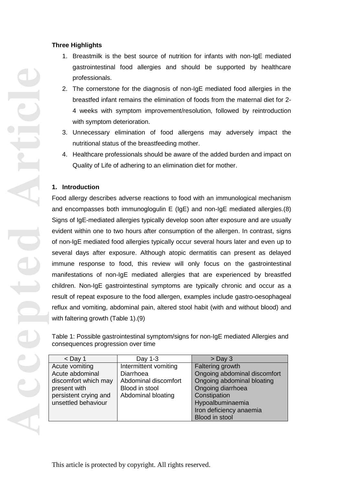## **Three Highlights**

- 1. Breastmilk is the best source of nutrition for infants with non -IgE mediated gastrointestinal food allergies and should be supported by healthcare professionals.
- 2. The cornerstone for the diagnosis of non -IgE mediated food allergies in the breastfed infant remains the elimination of foods from the maternal diet for 2 - 4 weeks with symptom improvement/resolution, followed by reintroduction with symptom deterioration.
- 3. Unnecessary elimination of food allergens may adversely impact the nutritional status of the breastfeeding mother.
- 4. Healthcare professionals should be aware of the added burden and impact on Quality of Life of adhering to an elimination diet for mother.

# **1. Introduction**

Food allergy describes adverse reactions to food with an immunological mechanism and encompasses both immunoglogulin E (IgE) and non -IgE mediated allergies.(8) Signs of IgE -mediated allergies typically develop soon after exposure and are usually evident within one to two hours after consumption of the allergen. In contrast, signs of non -IgE mediated food allergies typically occur several hours later and even up to several days after exposure. Although atopic dermatitis can present as delayed immune response to food, this review will only focus on the gastrointestinal manifestations of non -IgE mediated allergies that are experienced by breastfed children. Non -IgE gastrointestinal symptoms are typically chronic and occur as a result of repeat exposure to the food allergen, examples include gastro - oesophageal reflux and vomiting, abdominal pain, altered stool habit (with and without blood ) and with faltering growth (Table 1 ) .(9)

Table 1: Possible gastrointestinal symptom/signs for non -IgE mediated Allergies and consequences progression over time

| $<$ Day 1             | Day 1-3               | $>$ Day 3                    |
|-----------------------|-----------------------|------------------------------|
| Acute vomiting        | Intermittent vomiting | Faltering growth             |
| Acute abdominal       | Diarrhoea             | Ongoing abdominal discomfort |
| discomfort which may  | Abdominal discomfort  | Ongoing abdominal bloating   |
| present with          | Blood in stool        | Ongoing diarrhoea            |
| persistent crying and | Abdominal bloating    | Constipation                 |
| unsettled behaviour   |                       | Hypoalbuminaemia             |
|                       |                       | Iron deficiency anaemia      |
|                       |                       | Blood in stool               |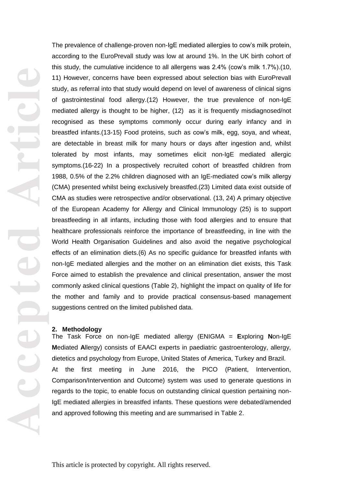The prevalence of challenge-proven non-IgE mediated allergies to cow's milk protein, according to the EuroPrevall study was low at around 1%. In the UK birth cohort of this study , the cumulative incidence to all allergens was 2.4% (cow's milk 1.7%) .(10, 11) However, concerns have been expressed about selection bias with EuroPrevall study, as referral into that study would depend on level of awareness of clinical signs of gastrointestinal food allergy.(12) However, the true prevalence of non -IgE mediated allergy is thought to be higher, (12) as it is frequently misdiagnosed/not recognised as these symptoms commonly occur during early infancy and in breastfed infants.(13-15) Food proteins, such as cow's milk, egg, soya, and wheat, are detectable in breast milk for many hours or days after ingestion and, whilst tolerated by most infants, may sometimes elicit non -IgE mediated allergic symptoms.(16 -22) In a prospectively recruited cohort of breastfed children from 1988 , 0.5% of the 2.2% children diagnosed with an IgE -mediated cow's milk allergy (CMA) presented whilst being exclusively breastfed .(23) Limited data exist outside of CMA as studies were retrospective and/or observational. (13, 24) A primary objective of the European Academy for Allergy and Clinical Immunology (25) is to support breastfeeding in all infants, including those with food allergies and to ensure that healthcare professionals reinforce the importance of breastfeeding, in line with the World Health Organisation Guidelines and also avoid the negative psychological effects of an elimination diets .(6) As no specific guidance for breastfed infants with non -IgE mediated allergies and the mother on an elimination diet exists, this Task Force aimed to establish the prevalence and clinical presentation, answer the most commonly asked clinical questions (Table 2), highlight the impact on quality of life for the mother and family and to provide practical consensus -based management suggestions centred on the limited published data.

#### **2. Methodology**

The Task Force on non -IgE mediated allergy (ENIGMA = **E**xploring **N**on -IgE **M**ediated **A**llergy) consists of EAACI experts in paediatric gastroenterology, allergy, dietetics and psychology from Europe, United States of America, Turkey and Brazil. At the first meeting in June 2016, the PICO (Patient, Intervention, Comparison/Intervention and Outcome) system was used to generate questions in regards to the topic, to enable focus on outstanding clinical question pertaining non - IgE mediated allergies in breastfed infants. These questions were debated/amended and approved following this meeting and are summarised in Table 2.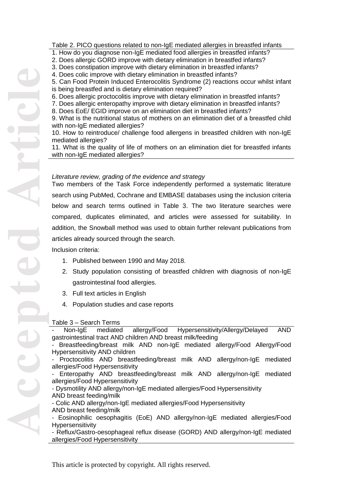#### Table 2. PICO questions related to non -IgE mediated allergies in breastfed infants

- 1. How do you diagnose non -IgE mediated food allergies in breastfed infants?
- 2. Does allergic GORD improve with dietary elimination in breastfed infants?
- 3. Does constipation improve with dietary elimination in breastfed infants?
- 4. Does colic improve with dietary elimination in breastfed infants?

5. Can Food Protein Induced Enterocolitis Syndrome (2) reactions occur whilst infant is being breastfed and is dietary elimination required?

6. Does allergic proctocolitis improve with dietary elimination in breastfed infants?

7. Does allergic enteropathy improve with dietary elimination in breastfed infants?

8. Does EoE/ EGID improve on an elimination diet in breastfed infants?

9. What is the nutritional status of mothers on an elimination diet of a breastfed child with non -IgE mediated allergies?

10. How to reintroduce/ challenge food allergens in breastfed children with non -IgE mediated allergies?

11. What is the quality of life of mothers on an elimination diet for breastfed infants with non -IgE mediated allergies?

#### *Literature review, grading of the evidence and strategy*

Two members of the Task Force independently performed a systematic literature search using PubMed, Cochrane and EMBASE databases using the inclusion criteria below and search terms outlined in Table 3. The two literature searches were compared, duplicates eliminated, and articles were assessed for suitability. In addition, the Snowball method was used to obtain further relevant publications from articles already sourced through the search.

Inclusion criteria:

- 1. Published between 1990 and May 2018 .
- 2. Study population consisting of breastfed children with diagnosis of non -IgE gastrointestinal food allergies.
- 3. Full text articles in English
- 4. Population studies and case reports

### Table 3 – Search Terms

Non-IgE mediated allergy/Food Hypersensitivity/Allergy/Delayed AND gastrointestinal tract AND children AND breast milk/feeding

- Breastfeeding/breast milk AND non-IgE mediated allergy/Food Allergy/Food Hypersensitivity AND children

- Proctocolitis AND breastfeeding/breast milk AND allergy/non -IgE mediated

allergies/Food Hypersensitivity<br>- Enteropathy AND breastfeeding/breast milk AND allergy/non-IgE mediated allergies/Food Hypersensitivity<br>- Dysmotility AND allergy/non-IgE mediated allergies/Food Hypersensitivity

AND breast feeding/milk

- Colic AND allergy/non-IgE mediated allergies/Food Hypersensitivity AND breast feeding/milk

- Eosinophilic oesophagitis (EoE) AND allergy/non -IgE mediated allergies/Food Hypersensitivity

- Reflux/Gastro-oesophageal reflux disease (GORD) AND allergy/non -IgE mediated allergies/Food Hypersensitivity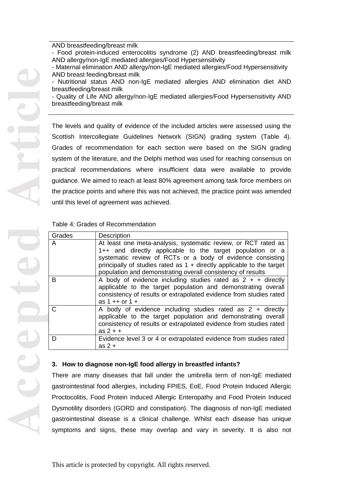- Food protein-induced enterocolitis syndrome (2) AND breastfeeding/breast milk AND allergy/non -IgE mediated allergies/Food Hypersensitivity
- Maternal elimination AND allergy/non -IgE mediated allergies/Food Hypersensitivity AND breast feeding/breast milk
- Nutritional status AND non-IgE mediated allergies AND elimination diet AND breastfeeding/breast milk
- Quality of Life AND allergy/non -IgE mediated allergies/Food Hypersensitivity AND breastfeeding/breast milk

The levels and quality of evidence of the included articles were assessed using the Scottish Intercollegiate Guidelines Network (SIGN) grading system (Table 4). Grades of recommendation for each section were based on the SIGN grading system of the literature, and the Delphi method was used for reaching consensus on practical recommendations where insufficient data were available to provide guidance. We aimed to reach at least 80% agreement among task force members on the practice points and where this was not achieved, the practice point was amended until this level of agreement was achieved.

## Table 4: Grades of Recommendation

| Grades | <b>Description</b>                                                                                                                                                                                                                                                                                                                  |
|--------|-------------------------------------------------------------------------------------------------------------------------------------------------------------------------------------------------------------------------------------------------------------------------------------------------------------------------------------|
| A      | At least one meta-analysis, systematic review, or RCT rated as<br>1++ and directly applicable to the target population or a<br>systematic review of RCTs or a body of evidence consisting<br>principally of studies rated as $1 +$ directly applicable to the target<br>population and demonstrating overall consistency of results |
| B      | A body of evidence including studies rated as $2 + +$ directly<br>applicable to the target population and demonstrating overall<br>consistency of results or extrapolated evidence from studies rated<br>as $1 + 0$ or $1 +$                                                                                                        |
|        | A body of evidence including studies rated as $2 +$ directly<br>applicable to the target population and demonstrating overall<br>consistency of results or extrapolated evidence from studies rated<br>$as 2 + +$                                                                                                                   |
| D      | Evidence level 3 or 4 or extrapolated evidence from studies rated<br>as $2 +$                                                                                                                                                                                                                                                       |

### **3. How to diagnos e non -IgE food allergy in breastfed infants?**

There are many diseases that fall under the umbrella term of non -IgE mediated gastrointestinal food allergies, including FPIES, E oE, Food Protein Induced Allergic Proctocolitis, Food Protein Induced Allergic Enteropathy and Food Protein Induced Dysmotility disorders (GORD and constipation). The diagnosis of non -IgE mediated gastrointestinal disease is a clinical challenge. Whilst each disease has unique symptoms and signs, these may overlap and vary in severity. It is also not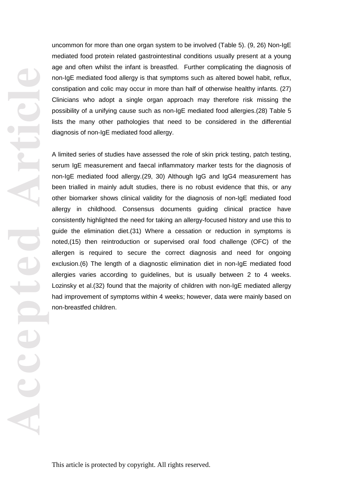**Accepted Article**

uncommon for more than one organ system to be involved (Table 5). (9, 26) Non -IgE mediated food protein related gastrointestinal conditions usually present at a young age and often whilst the infant is breastfed. Further complicating the diagnosis of non -IgE mediated food allergy is that symptoms such as altered bowel habit, reflux, constipation and colic may occur in more than half of otherwise healthy infants. (27) Clinicians who adopt a single organ approach may therefore risk missing the possibility of a unifying cause such as non -IgE mediated food allergies.(28) Table 5 lists the many other pathologies that need to be considered in the differential diagnosis of non -IgE mediated food allergy.

A limited series of studies have assessed the role of skin prick testing, patch testing, serum IgE measurement and faecal inflammatory marker test s for the diagnosis of non -IgE mediated food allergy . (29, 30) Although IgG and IgG4 measurement has been trialled in mainly adult studies, there is no robust evidence that this, or any other biomarker shows clinical validity for the diagnosis of non -IgE mediated food allergy in childhood. Consensus documents guiding clinical practice have consistently highlighted the need for taking an allergy -focused history and use this to guide the elimination diet.(31) Where a cessation or reduction in symptoms is noted,(15) then reintroduction or supervised oral food challenge (OFC) of the allergen is required to secure the correct diagnosis and need for ongoing exclusion.(6) The length of a diagnostic elimination diet in non -IgE mediated food allergies varies according to guidelines , but is usually between 2 to 4 weeks. Lozinsky et al.(32) found that the majority of children with non -IgE mediated allergy had improvement of symptoms within 4 weeks ; however , data were mainly based on non -breastfed children.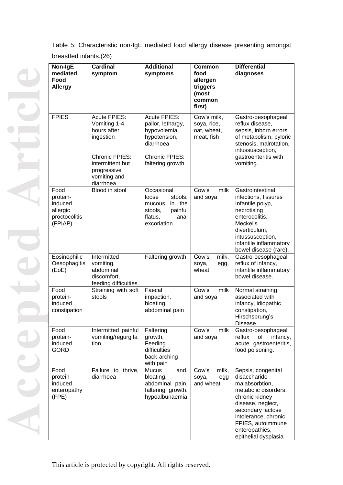Table 5: Characteristic non -IgE mediated food allergy disease presenting amongst breastfed infants.(26)

| Non-IgE<br>mediated<br>Food<br><b>Allergy</b>                       | <b>Cardinal</b><br>symptom                                                                                                                        | <b>Additional</b><br>symptoms                                                                                                | <b>Common</b><br>food<br>allergen<br>triggers<br>(most<br>common<br>first) | <b>Differential</b><br>diagnoses                                                                                                                                                                                                |
|---------------------------------------------------------------------|---------------------------------------------------------------------------------------------------------------------------------------------------|------------------------------------------------------------------------------------------------------------------------------|----------------------------------------------------------------------------|---------------------------------------------------------------------------------------------------------------------------------------------------------------------------------------------------------------------------------|
| <b>FPIES</b>                                                        | <b>Acute FPIES:</b><br>Vomiting 1-4<br>hours after<br>ingestion<br>Chronic FPIES:<br>intermittent but<br>progressive<br>vomiting and<br>diarrhoea | <b>Acute FPIES:</b><br>pallor, lethargy,<br>hypovolemia,<br>hypotension,<br>diarrhoea<br>Chronic FPIES:<br>faltering growth. | Cow's milk,<br>soya, rice,<br>oat, wheat,<br>meat, fish                    | Gastro-oesophageal<br>reflux disease,<br>sepsis, inborn errors<br>of metabolism, pyloric<br>stenosis, malrotation,<br>intussusception,<br>gastroenteritis with<br>vomiting.                                                     |
| Food<br>protein-<br>induced<br>allergic<br>proctocolitis<br>(FPIAP) | Blood in stool                                                                                                                                    | Occasional<br>loose<br>stools,<br>in the<br>mucous<br>stools,<br>painful<br>flatus,<br>anal<br>excoriation                   | milk<br>Cow's<br>and soya                                                  | Gastrointestinal<br>infections, fissures<br>Infantile polyp,<br>necrotising<br>enterocolitis,<br>Meckel's<br>diverticulum,<br>intussusception,<br>infantile inflammatory<br>bowel disease (rare).                               |
| Eosinophilic<br>Oesophagitis<br>(EoE)                               | Intermitted<br>vomiting,<br>abdominal<br>discomfort,<br>feeding difficulties                                                                      | Faltering growth                                                                                                             | Cow's<br>milk,<br>soya,<br>egg,<br>wheat                                   | Gastro-oesophageal<br>reflux of infancy,<br>infantile inflammatory<br>bowel disease.                                                                                                                                            |
| Food<br>protein-<br>induced<br>constipation                         | Straining with soft<br>stools                                                                                                                     | Faecal<br>impaction,<br>bloating,<br>abdominal pain                                                                          | Cow's<br>milk<br>and soya                                                  | Normal straining<br>associated with<br>infancy, idiopathic<br>constipation,<br>Hirschsprung's<br>Disease.                                                                                                                       |
| Food<br>protein-<br>induced<br><b>GORD</b>                          | Intermitted painful<br>vomiting/regurgita<br>tion                                                                                                 | Faltering<br>growth,<br>Feeding<br>difficulties<br>back-arching<br>with pain                                                 | Cow's<br>milk<br>and soya                                                  | Gastro-oesophageal<br>reflux<br>of<br>infancy,<br>acute gastroenteritis,<br>food poisoning.                                                                                                                                     |
| Food<br>protein-<br>induced<br>enteropathy<br>(FPE)                 | Failure to<br>thrive,<br>diarrhoea                                                                                                                | <b>Mucus</b><br>and,<br>bloating,<br>abdominal pain,<br>faltering growth,<br>hypoalbunaemia                                  | milk,<br>Cow's<br>soya,<br>egg<br>and wheat                                | Sepsis, congenital<br>disaccharide<br>malabsorbtion,<br>metabolic disorders,<br>chronic kidney<br>disease, neglect,<br>secondary lactose<br>intolerance, chronic<br>FPIES, autoimmune<br>enteropathies,<br>epithelial dysplasia |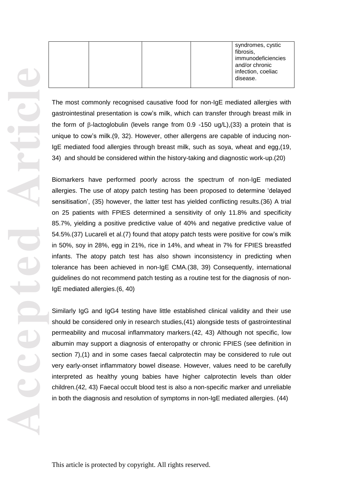|  |  | syndromes, cystic  |
|--|--|--------------------|
|  |  | fibrosis,          |
|  |  | immunodeficiencies |
|  |  | and/or chronic     |
|  |  | infection, coeliac |
|  |  | disease.           |
|  |  |                    |

The most commonly recognised causative food for non -IgE mediated allergies with gastrointestinal presentation is cow's milk , which can transfer through breast milk in the form of β-lactoglobulin (levels range from 0.9 -150 ug/L),(33) a protein that is unique to cow's milk .(9, 32). However , other allergens are capable of inducing non - IgE mediated food allergies through breast milk, such as soya, wheat and egg ,(19, 34) and should be considered within the history -taking and diagnostic work -up.(20)

Biomarkers have performed poorly across the spectrum of non -IgE mediated allergies. The use of atopy patch testing has been proposed to determine 'delayed sensitisation', (35) however, the latter test has yielded conflicting results .(36) A trial on 25 patients with FPIES determined a sensitivity of only 11.8% and specificity 85.7% , yielding a positive predictive value of 40% and negative predictive value of 54.5%.(37) Lucareli et al.(7) found that atopy patch tests were positive for cow's milk in 50%, soy in 28%, egg in 21%, rice in 14%, and wheat in 7% for FPIES breastfed infants. The atopy patch test has also shown inconsistency in predicting when tolerance has been achieved in non-IgE CMA.(38, 39) Consequently, international guidelines do not recommend patch testing as a routin e test for the diagnosis of non - IgE mediated allergies.(6, 40)

Similarly IgG and IgG4 testing have little established clinical validity and their use should be considered only in research studies,(41) alongside tests of gastrointestinal permeability and mucosal inflammatory markers.(42, 43) Although not specific, low albumin may support a diagnosis of enteropathy or chronic FPIES (see definition in section 7) ,(1) and in some cases faecal calprotectin may be considered to rule out very early -onset inflammatory bowel disease. However, values need to be carefully interpreted as healthy young babies have higher calprotectin levels than older children.(42, 43) Faecal occult blood test is also a non -specific marker and unreliable in both the diagnosis and resolution of symptoms in non -IgE mediated allergies. (44)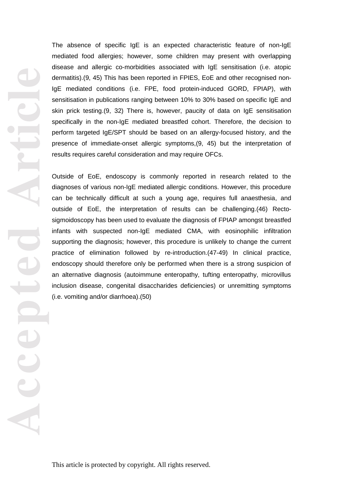**Accepted Article**

The absence of specific IgE is an expected characteristic feature of non -IgE mediated food allergies ; however , some children may present with overlapping disease and allergic co -morbidities associated with IgE sensitisation (i.e. atopic dermatitis).(9, 45) This has been reported in FPIES, EoE and other recognised non - IgE mediated conditions (i.e. FPE, food protein -induced GORD, FPIAP ) , with sensitisation in publications ranging between 10% to 30% based on specific IgE and skin prick testing .(9, 32) There is, however , paucity of data on IgE sensitisation specifically in the non -IgE mediated breastfed cohort. Therefore, the decision to perform targeted IgE/SPT should be based on an allergy -focused history, and the presence of immediate -onset allergic symptoms,(9, 45) but the interpretation of results requires careful consideration and may require OFCs .

Outside of EoE , endoscopy is commonly reported in research related to the diagnoses of various non -IgE mediated allergic conditions. However, this procedure can be technically difficult at such a young age, requires full anaesthesia , and outside of EoE , the interpretation of results can be challenging.(46) Recto sigmoidoscopy has been used to evaluate the diagnosis of FPIAP amongst breastfed infants with suspected non -IgE mediated CMA, with eosinophilic infiltration supporting the diagnosis ; however , this procedure is unlikely to change the current practice of elimination followed by re -introduction.(47 -49) In clinical practice, endoscopy should therefore only be performed when there is a strong suspicion of an alternative diagnosis (autoimmune enteropathy, tufting enteropathy, microvillus inclusion disease, congenital disaccharides deficiencies) or unremitting symptoms (i.e. vomiting and/or diarrhoea) .(50)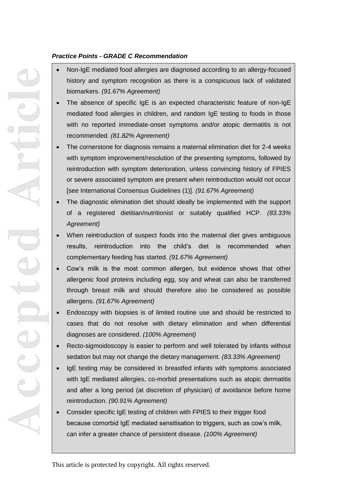## *Practice Points - GRADE C Recommendation*

- Non-IgE mediated food allergies are diagnosed according to an allergy-focused history and symptom recognition as there is a conspicuous lack of validated biomarkers. *(91.67% Agreement)*
- The absence of specific IgE is an expected characteristic feature of non-IgE mediated food allergies in children, and random IgE testing to foods in those with no reported immediate-onset symptoms and/or atopic dermatitis is not recommended. *(81.82% Agreement)*
- The cornerstone for diagnosis remains a maternal elimination diet for 2-4 weeks with symptom improvement/resolution of the presenting symptoms, followed by reintroduction with symptom deterioration, unless convincing history of FPIES or severe associated symptom are present when reintroduction would not occur [see International Consensus Guidelines (1)]. *(91.67% Agreement)*
- **•** The diagnostic elimination diet should ideally be implemented with the support of a registered dietitian/nutritionist or suitably qualified HCP. *(83.33%* Societies of Paediatric Gastroenterology, Hepatology, Hepatology and Nutrition (Nutrition (Nutrition (Nutrition (Nutrition (Nutrition (Nutrition (Nutrition (Nutrition (Nutrition (Nutrition (Nutrition (Nutrition (Nutrition *Agreement)*
- When reintroduction of suspect foods into the maternal diet gives ambiguous results, reintroduction into the child's diet is recommended when complementary feeding has started. *(91.67% Agreement)* complementary feeding has started. *(91.67% Agreement)*
- that affect daily functioning and/or complications; iii) refractory GORD: GORD, not responding to optimal treatment after eight weeks. For a non-IgE mediated allergy in a breastfed child to be considered as the cause of GORD (not GOR), the infant  $\sim$  should have symptom resolution following a maternal elimination following a maternal elimination diet with re- Cow's milk is the most common allergen, but evidence shows that other allergenic food proteins including egg, soy and wheat can also be transferred through breast milk and should therefore also be considered as possible allergens. *(91.67% Agreement)*
- occurrence on reintroduction. However, it can be challenging to distinguish between GORD and GOR, as "troublesome symptoms" remains a definition open for interpretation, particularly infants; where  $\alpha$  is troubles infants; where  $\alpha$  is troubles or one parameters or one parameters or one parameters  $\alpha$  Endoscopy with biopsies is of limited routine use and should be restricted to cases that do not resolve with dietary elimination and when differential diagnoses are considered. *(100% Agreement)*
- care giver might be considered normal for another. There is very limited evidence on the incidence and severity of GORD in breastfed Recto-sigmoidoscopy is easier to perform and well tolerated by infants without sedation but may not change the dietary management. *(83.33% Agreement)*
- infants, and it is estimated that about 25% of infants  $\frac{1}{2}$  of  $\frac{1}{2}$  infants (bottle-fed)  $s_0$  troubles on transmitted as sociation. (5) the association between  $s_0$ allergy in both breast and green becomed inflant breast and, the empty demiants is property to the finance of  $\frac{1}{2}$  $\frac{1}{\sqrt{2}}$  different to establish to establish to the projection, so more data because  $\frac{1}{\sqrt{2}}$  $\frac{1}{\sqrt{2}}$  commonwealth  $\frac{1}{\sqrt{2}}$  for literature search.(54-59) The literature search  $\frac{1}{\sqrt{2}}$  the literature search  $\frac{1}{\sqrt{2}}$  for literature search. • IgE testing may be considered in breastfed infants with symptoms associated with IgE mediated allergies, co-morbid presentations such as atopic dermatitis and after a long period (at discretion of physician) of avoidance before home reintroduction. *(90.91% Agreement)*
- **•** Consider specific IgE testing of children with FPIES to their trigger food because comorbid IgE mediated sensitisation to triggers, such as cow's milk, can infer a greater chance of persistent disease. *(100% Agreement)*

**Accepted Article**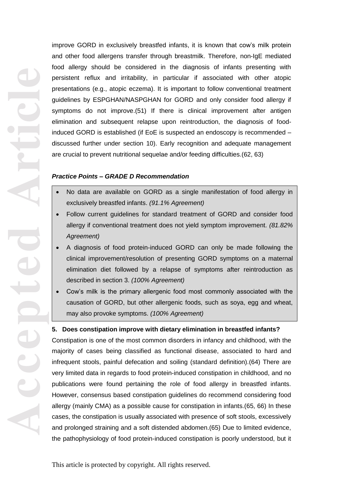**Accepted Article**

improve GORD in exclusively breastfed infants, it is known that cow's milk protein and other food allergens transfer through breastmilk . Therefore , non -IgE mediated food allergy should be considered in the diagnosis of infants presenting with persistent reflux and irritability, in particular if associated with other atopic presentations (e.g., atopic eczema). It is important to follow conventional treatment guidelines by ESPGHAN/NASPGHAN for GORD and only consider food allergy if symptoms do not improve .(51) If there is clinical improvement after antigen elimination and subsequent relapse upon reintroduction, the diagnosis of food induced GORD is established (if EoE is suspected an endoscopy is recommended – discussed further under section 10 ). Early recognition and adequate management are crucial to prevent nutritional sequelae and/or feeding difficulties.(62, 63)

## *Practice Points – GRADE D Recommendation*

- No data are available on GORD as a single manifestation of food allergy in exclusively breastfed infants. *(91.1% Agreement)*
- Follow current guidelines for standard treatment of GORD and consider food allergy if conventional treatment does not yield symptom improvement. *(81.82% Agreement)*
- A diagnosis of food protein-induced GORD can only be made following the clinical improvement/resolution of presenting GORD symptoms on a maternal elimination diet followed by a relapse of symptoms after reintroduction as described in section 3. *(100% Agreement)*
- Cow's milk is the primary allergenic food most commonly associated with the causation of GORD, but other allergenic foods, such as soya, egg and wheat, may also provoke symptoms. *(100% Agreement)*

# **5. Does constipation improve with dietary elimination in breastfed infants?**

Constipation is one of the most common disorders in infancy and childhood, with the majority of cases being classified as functional disease, associated to hard and infrequent stools, painful defecation and soiling (standard definition).(64) There are very limited data in regards to food protein -induced constipation in childhood , and no publications were found pertaining the role of food allergy in breastfed infants. However, consensus based constipation guidelines do recommend considering food allergy (mainly CMA) as a possible cause for constipation in infants.(65, 66) In these cases, the constipation is usually associated with presence of soft stools, excessively and prolonged straining and a soft distended abdomen.(65) Due to limited evidence , the pathophysiology of food protein -induced constipation is poorly understood, but it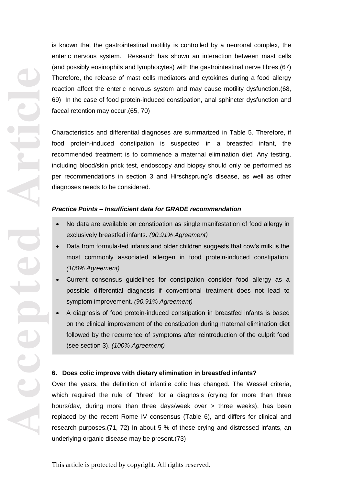**Accepted Article**

is known that the gastrointestinal motility is controlled by a neuronal complex, the enteric nervous system. Research has shown an interaction between mast cells (and possibly eosinophils and lymphocytes) with the gastrointestinal nerve fibres .(67) Therefore, the release of mast cells mediators and cytokines during a food allergy reaction affect the enteric nervous system and may cause motility dysfunction.(68, 69) In the case of food protein-induced constipation, anal sphincter dysfunction and faecal retention may occur .(65, 70)

Characteristics and differential diagnoses are summarized in Table 5. Therefore, if food protein -induced constipation is suspected in a breastfed infan t, the recommended treatment is to commence a maternal elimination diet. Any testing, including blood/skin prick test, endoscopy and biopsy should only be performed as per recommendations in section 3 and Hirschsprung's disease, as well as other diagnoses needs to be considered.

# *Practice Points – Insufficient data for GRADE recommendation*

- No data are available on constipation as single manifestation of food allergy in exclusively breastfed infants. *(90.91% Agreement)*
- Data from formula-fed infants and older children suggests that cow's milk is the most commonly associated allergen in food protein -induced constipation. *(100% Agreement)*
- Current consensus guidelines for constipation consider food allergy as a possible differential diagnosis if conventional treatment does not lead to symptom improvement. *(90.91% Agreement)*
- A diagnosis of food protein-induced constipation in breastfed infants is based on the clinical improvement of the constipation during maternal elimination diet followed by the recurrence of symptoms after reintroduction of the culprit food (see section 3). *(100% Agreement)*

### **6. Does colic improve with dietary elimination in breastfed infants?**

Over the years, the definition of infantile colic has changed. The Wessel criteria , which required the rule of "three" for a diagnosis (crying for more than three hours/day, during more than three days/week over > three weeks) , has been replaced by the recent Rome IV consensus (Table 6 ), and differ s for clinical and research purposes .(71, 72) In about 5 % of these crying and distressed infants, an underlying organic disease may be present .(73)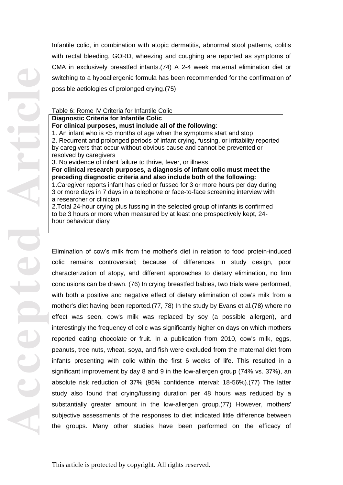Infantile colic, in combination with atopic dermatitis, abnormal stool patterns, colitis with rectal bleeding, GORD, wheezing and coughing are reported as symptoms of CMA in exclusively breastfed infants.(74) A 2 -4 week maternal elimination diet or switching to a hypoallergenic formula has been recommended for the confirmation of possible aetiologies of prolonged crying.(75)

# Table 6: Rome IV Criteria for Infantile Colic

## **Diagnostic Criteria for Infantile Colic For clinical purposes, must include all of the following** : 1. An infant who is <5 months of age when the symptoms start and stop 2. Recurrent and prolonged periods of infant crying, fussing, or irritability reported by caregivers that occur without obvious cause and cannot be prevented or resolved by caregivers 3. No evidence of infant failure to thrive, fever, or illness **For clinical research purposes, a diagnosis of infant colic must meet the preceding diagnostic criteria and also include both of the following:**

1.Caregiver reports infant has cried or fussed for 3 or more hours per day during 3 or more days in 7 days in a telephone or face -to -face screening interview with a researcher or clinician

2.Total 24 -hour crying plus fussing in the selected group of infants is confirmed to be 3 hours or more when measured by at least one prospectively kept, 24 hour behaviour diary

Elimination of cow's milk from the mother's diet in relation to food protein -induced colic remains controversial ; because of differences in study design, poor characterization of atopy , and different approaches to dietary elimination, no firm conclusions can be drawn . (76) In crying breastfed babies, two trials were performed, with both a positive and negative effect of dietary elimination of cow's milk from a mother's diet having been reported .(77, 78) In the study by Evans et al.(78) where no effect was seen, cow's milk was replaced by soy (a possible allergen) , and interestingly the frequency of colic was significantly higher on days on which mothers reported eating chocolate or fruit. In a publication from 2010, cow's milk, eggs, peanuts, tree nuts, wheat, soy a, and fish were excluded from the maternal diet from infants presenting with colic within the first 6 weeks of life. This resulted in a significant improvement by day 8 and 9 in the low -allergen group (74% vs . 37%), an absolute risk reduction of 37% (95% confidence interval: 18 -56%).(77) The latter study also found that crying/fussing duration per 48 hours was reduced by a substantially greater amount in the low -allergen group.(77) However, mothers' subjective assessments of the responses to diet indicated little difference between the groups. Many other studies have been performed on the efficacy of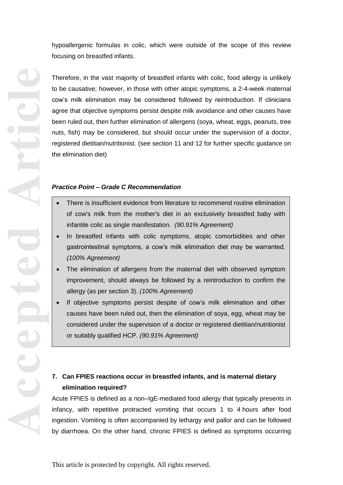hypoallergenic formulas in colic, which were outside of the scope of this review focusing on breastfed infants .

Therefore, in the vast majority of breastfed infants with colic, food allergy is unlikely to be causative; however, in those with other atopic symptoms, a 2-4-week maternal cow's milk elimination may be considered followed by reintroduction. If clinicians agree that objective symptoms persist despite milk avoidance and other causes have been ruled out, then further elimination of allergens (soya, wheat, eggs, peanuts, tree nuts, fish) may be considered, but should occur under the supervision of a doctor, registered dietitian/nutritionist. (see section 11 and 12 for further specific guidance on the elimination diet)

#### *Practice Point – Grade C Recommendation*

- of cow's milk from the mother's diet in an exclusively breastfed baby with infantile colic as single manifestation. *(90.91% Agreement)*
- In breastfed infants with colic symptoms, atopic comorbidities and other gastrointestinal symptoms, a cow's milk elimination diet may be warranted. *(100% Agreement)*
- The elimination of allergens from the maternal diet with observed symptom improvement, should always be followed by a reintroduction to confirm the allergy (as per section 3). *(100% Agreement)*
- If objective symptoms persist despite of cow's milk elimination and other causes have been ruled out, then the elimination of soya, egg, wheat may be considered under the supervision of a doctor or registered dietitian/nutritionist or suitably qualified HCP. *(90.91% Agreement)*

# **7. Can FPIES reactions occur in breastfed infants, and is maternal dietary elimination required?**

Acute FPIES is defined as a non–IgE-mediated food allergy that typically presents in infancy, with repetitive protracted vomiting that occurs 1 to 4 hours after food ingestion. Vomiting is often accompanied by lethargy and pallor and can be followed • There is insufficient evidence from literature to recommend routine elimination<br>
of cow's milk from the mother's diet in an exclusively breasted baby with<br>
infantile colic as single manifestation. (90.91% Agreement)<br>
In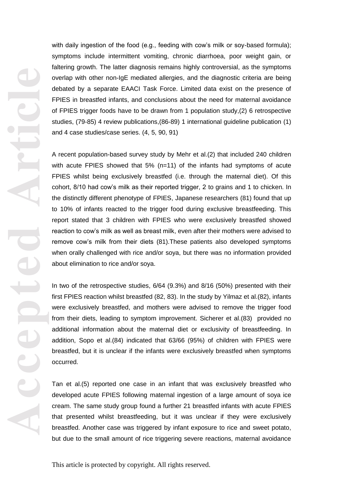with daily ingestion of the food (e.g., feeding with cow's milk or soy -based formula); symptoms include intermittent vomiting, chronic diarrhoea, poor weight gain, or faltering growth. The latter diagnosis remains highly controversial , as the symptoms overlap with other non -IgE mediated allergies , and the diagnostic criteria are being debated by a separate EAACI Task Force. Limited data exist on the presence of FPIES in breastfed infants, and conclusions about the need for maternal avoidance of FPIES trigger foods have to be drawn from 1 population study ,(2) 6 retrospective studies , (79 -85) 4 review publications ,(86 -89) 1 international guideline publication (1) and 4 case studies/case series . (4, 5, 90, 91)

A recent population -based survey study by Mehr et al.(2) that included 240 children with acute FPIES showed that 5% (n=11) of the infants had symptoms of acute FPIES whilst being exclusively breastfed (i.e . through the maternal diet). Of this cohort , 8/10 had cow's milk as their reported trigger, 2 to grains and 1 to chicken. In the distinctly different phenotype of FPIES, Japanese researchers (81) found that up to 10% of infants reacted to the trigger food during exclusive breastfeeding . This report stated that 3 children with FPIES who were exclusively breastfed showed reaction to cow's milk as well as breast milk , even after their mothers were advised to remove cow's milk from their diets (81) .These patients also developed symptoms when orally challenged with rice and/or soy a, but there was no information provided about elimination to rice and/or soy a .

In two of the retrospective studies, 6/6 4 (9.3%) and 8/16 (50%) presented with their first FPIES reaction whilst breastfed (82, 83). In the study by Yilmaz et al.(82) , infants were exclusively breastfed , and mothers were advised to remove the trigger food from their diets, leading to symptom improvement. Sicherer et al .(83) provided no additional information about the maternal diet or exclusivity of breastfeeding. In addition, Sopo et al.(84) indicated that 63/66 ( 9 5 % ) of children with FPIES were breastfed , but it is unclear if the infants were exclusively breastfed when symptoms occurred.

Tan et al.(5) reported one case in an infant that was exclusively breastfed who developed acute FPIES following maternal ingestion of a large amount of soya ice cream. The same study group found a further 21 breastfed infants with acute FPIES that presented whilst breastfeeding, but it was unclear if they were exclusively breastfed. Another case was triggered by infant exposure to rice and sweet potato , but due to the small amount of rice triggering severe reactions, maternal avoidance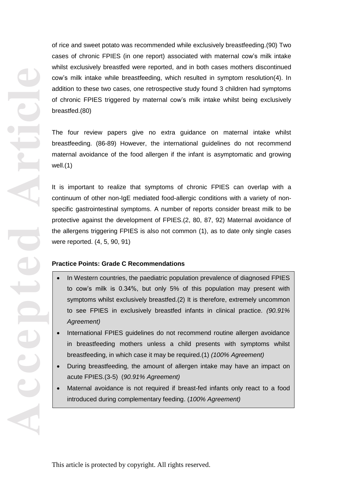of rice and sweet potato was recommended while exclusively breastfeeding .(90) Two case s of chronic FPIES (in one report) associated with maternal cow's milk intake whilst exclusively breastfed were reported , and in both cases mothers discontinued cow's milk intake while breastfeeding, which resulted in symptom resolution(4) . In addition to these two cases, one retrospective study found 3 children had symptoms of chronic FPIES triggered by maternal cow's milk intake whilst being exclusively breastfed .(80)

The four review papers give no extra guidance on maternal intake whilst breastfeeding . (86 -89) However, the international guidelines do not recommend maternal avoidance of the food allergen if the infant is asymptomatic and growing well .(1)

It is important to realize that symptoms of chronic FPIES can overlap with a continuum of other non-IgE mediated food-allergic conditions with a variety of nonspecific gastrointestinal symptoms . A number of reports consider breast milk to be protective against the development of FPIES .(2, 80, 87, 92) Maternal avoidance of the allergens triggering FPIES is also not common (1) , as to date only single cases were reported . (4, 5, 90, 91)

### **Practice Points: Grade C Recommendations**

- In Western countries, the paediatric population prevalence of diagnosed FPIES to cow's milk is 0.34%, but only 5% of this population may present with symptoms whilst exclusively breastfed .(2) It is therefore, extremely uncommon to see FPIES in exclusively breastfed infants in clinical practice. *(90.91% Agreement)*
- International FPIES quidelines do not recommend routine allergen avoidance in breastfeeding mothers unless a child presents with symptoms whilst breastfeeding, in which case it may be required.(1) *(100% Agreement)*
- During breastfeeding, the amount of allergen intake may have an impact on acute FPIES.(3 -5) (*90.91% Agreement)*
- Maternal avoidance is not required if breast-fed infants only react to a food introduced during complementary feeding. (*100% Agreement)*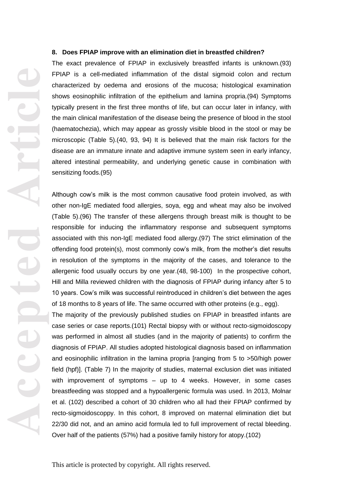#### **8. Does FPIAP improve with an elimination diet in breastfed children?**

The exact prevalence of FPIAP in exclusively breastfed infants is unknown.(93) FPIAP is a cell-mediated inflammation of the distal sigmoid colon and rectum characterized by oedema and erosions of the mucosa; histological examination shows eosinophilic infiltration of the epithelium and lamina propria.(94) Symptoms typically present in the first three months of life, but can occur later in infancy, with the main clinical manifestation of the disease being the presence of blood in the stool (h aematochezia), which may appear as grossly visible blood in the stool or may be microscopic (Table 5 ) .(40, 93, 94) It is believed that the main risk factors for the disease are an immature innate and adaptive immune system seen in early infancy, altered intestinal permeability, and underlying genetic cause in combination with sensitizing foods .(95)

Although cow's milk is the most common causative food protein involved, as with other non -IgE mediated food allergies , soy a, egg and wheat may also be involved (Table 5 ) .(96) The transfer of these allergens through breast milk is thought to be responsible for inducing the inflammatory response and subsequent symptoms associated with this non -IgE mediated food allergy .(97) The strict elimination of the offending food protein(s), most commonly cow's milk, from the mother's diet results in resolution of the symptoms in the majority of the cases , and tolerance to the allergenic food usually occurs by one year .(48, 98 -100) In the prospective cohort, Hill and Milla reviewed children with the diagnosis of FPIAP during infancy after 5 to 10 years. Cow's milk was successful reintroduced in children's diet between the ages of 18 months to 8 years of life. The same occurred with other proteins (e.g., egg).

The majority of the previously published studies on FPIAP in breastfed infants are case series or case reports.(101) Rectal biopsy with or without recto -sigmoidoscopy was performed in almost all studies (and in the majority of patients) to confirm the diagnosis of FPIAP. All studies adopted histological diagnosis based on inflammation and eosinophilic infiltration in the lamina propria [ranging from 5 to >50/high power field (hpf) ]. (Table 7 ) In the majority of studies, maternal exclusion diet was initiated with improvement of symptoms – up to 4 weeks. However, in some cases breastfeeding was stopped and a hypoallergenic formula was used. In 2013, Molnar et al. (102) described a cohort of 30 children who all had their FPIAP confirmed by recto -sigmoidoscoppy. In this cohort , 8 improved on maternal elimination diet but 22/30 did not , and an amino acid formula led to full improvement of rectal bleeding. Over half of the patients (57% ) had a positive family history for atopy .(102)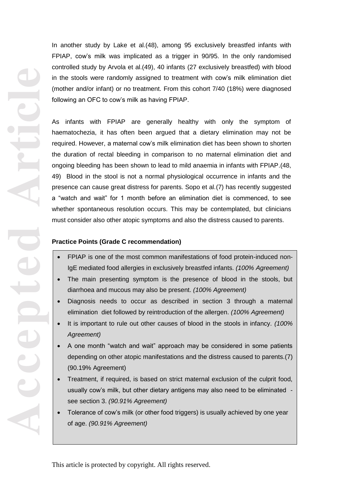**Accepted Article**

In another study by Lake et al.(48), among 95 exclusively breastfed infants with FPIAP, cow's milk was implicated as a trigger in 90/95. In the only randomised controlled study by Arvola et al.(49), 40 infants (27 exclusively breastfed) with blood in the stools were randomly assigned to treatment with cow's milk elimination diet (mother and/or infant) or no treatment. From this cohort 7/40 (18%) were diagnosed following an OFC to cow's milk as having FPIAP.

As infants with FPIAP are generally healthy with only the symptom of haematochezia, it has often been argued that a dietary elimination may not be required. However , a maternal cow's milk elimination diet has been shown to shorten the duration of rectal bleeding in comparison to no maternal elimination diet and ongoing bleeding has been shown to lead to mild anaemia in infants with FPIAP .(48, 49) Blood in the stool is not a normal physiological occurrence in infants and the presence can cause great distress for parents. Sopo et al.(7) has recently suggested a "watch and wait" for 1 month before an elimination diet is commenced, to see whether spontaneous resolution occurs. This may be contemplated, but clinicians must consider also other atopic symptoms and also the distress caused to parents.

# **Practice Points (Grade C recommendation)**

- FPIAP is one of the most common manifestations of food protein-induced non-IgE mediated food allergies in exclusively breastfed infants. *(100% Agreement)*
- The main presenting symptom is the presence of blood in the stools, but diarrhoea and mucous may also be present. *(100% Agreement)*
- Diagnosis needs to occur as described in section 3 through a maternal elimination diet followed by reintroduction of the allergen. *(100% Agreement)*
- It is important to rule out other causes of blood in the stools in infancy. *(100% Agreement)*
- A one month "watch and wait" approach may be considered in some patients depending on other atopic manifestations and the distress caused to parents.(7) (90.19% Agreement)
- Treatment, if required, is based on strict maternal exclusion of the culprit food, usually cow's milk, but other dietary antigens may also need to be eliminated see section 3. *(90.91% Agreement)*
- Tolerance of cow's milk (or other food triggers) is usually achieved by one year of age. *(90.91% Agreement)*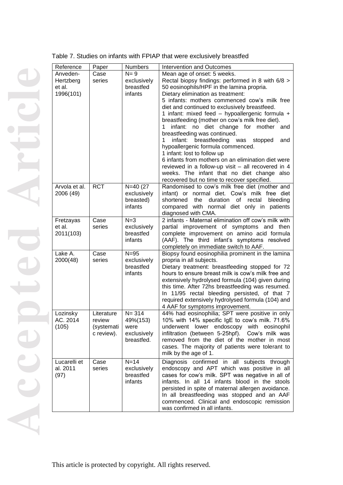|  |  |  | Table 7. Studies on infants with FPIAP that were exclusively breastfed |  |
|--|--|--|------------------------------------------------------------------------|--|
|--|--|--|------------------------------------------------------------------------|--|

| Reference     | Paper      | <b>Numbers</b>       | Intervention and Outcomes                                                             |  |  |
|---------------|------------|----------------------|---------------------------------------------------------------------------------------|--|--|
| Anveden-      | Case       | $N = 9$              | Mean age of onset: 5 weeks.                                                           |  |  |
| Hertzberg     | series     | exclusively          | Rectal biopsy findings: performed in 8 with 6/8 >                                     |  |  |
| et al.        |            | breastfed            | 50 eosinophils/HPF in the lamina propria.                                             |  |  |
| 1996(101)     |            | infants              | Dietary elimination as treatment:                                                     |  |  |
|               |            |                      | 5 infants: mothers commenced cow's milk free                                          |  |  |
|               |            |                      | diet and continued to exclusively breastfeed.                                         |  |  |
|               |            |                      | 1 infant: mixed feed - hypoallergenic formula +                                       |  |  |
|               |            |                      | breastfeeding (mother on cow's milk free diet).                                       |  |  |
|               |            |                      | infant: no diet change for mother and                                                 |  |  |
|               |            |                      | breastfeeding was continued.                                                          |  |  |
|               |            |                      | infant: breastfeeding was<br>1<br>stopped<br>and                                      |  |  |
|               |            |                      | hypoallergenic formula commenced.                                                     |  |  |
|               |            |                      | 1 infant: lost to follow up                                                           |  |  |
|               |            |                      | 6 infants from mothers on an elimination diet were                                    |  |  |
|               |            |                      | reviewed in a follow-up visit - all recovered in 4                                    |  |  |
|               |            |                      | weeks. The infant that no diet change also                                            |  |  |
|               |            |                      | recovered but no time to recover specified.                                           |  |  |
| Arvola et al. | <b>RCT</b> | $N=40(27)$           | Randomised to cow's milk free diet (mother and                                        |  |  |
| 2006 (49)     |            | exclusively          | infant) or normal diet. Cow's milk free diet                                          |  |  |
|               |            | breasted)            | duration<br>of rectal<br>bleeding<br>shortened<br>the                                 |  |  |
|               |            | infants              | compared with normal diet only in patients                                            |  |  |
|               |            |                      | diagnosed with CMA.                                                                   |  |  |
| Fretzayas     | Case       | $N=3$                | 2 infants - Maternal elimination off cow's milk with                                  |  |  |
| et al.        | series     | exclusively          | partial improvement of symptoms and then                                              |  |  |
| 2011(103)     |            | breastfed<br>infants | complete improvement on amino acid formula                                            |  |  |
|               |            |                      | (AAF). The third infant's symptoms resolved<br>completely on immediate switch to AAF. |  |  |
| Lake A.       | Case       | $N = 95$             | Biopsy found eosinophilia prominent in the lamina                                     |  |  |
| 2000(48)      | series     | exclusively          | propria in all subjects.                                                              |  |  |
|               |            | breastfed            | Dietary treatment: breastfeeding stopped for 72                                       |  |  |
|               |            | infants              | hours to ensure breast milk is cow's milk free and                                    |  |  |
|               |            |                      | extensively hydrolysed formula (104) given during                                     |  |  |
|               |            |                      | this time. After 72hs breastfeeding was resumed.                                      |  |  |
|               |            |                      | In 11/95 rectal bleeding persisted, of that 7                                         |  |  |
|               |            |                      | required extensively hydrolysed formula (104) and                                     |  |  |
|               |            |                      | 4 AAF for symptoms improvement.                                                       |  |  |
| Lozinsky      | Literature | $N = 314$            | 44% had eosinophilia; SPT were positive in only                                       |  |  |
| AC. 2014      | review     | 49%(153)             | 10% with 14% specific IgE to cow's milk. 71.6%                                        |  |  |
| (105)         | (systemati | were                 | underwent<br>lower endoscopy with eosinophil                                          |  |  |
|               | c review). | exclusively          | infiltration (between 5-25hpf).<br>Cow's milk was                                     |  |  |
|               |            | breastfed.           | removed from the diet of the mother in most                                           |  |  |
|               |            |                      | cases. The majority of patients were tolerant to                                      |  |  |
|               |            |                      | milk by the age of 1.                                                                 |  |  |
| Lucarelli et  | Case       | $N=14$               | Diagnosis confirmed in all subjects through                                           |  |  |
| al. 2011      | series     | exclusively          | endoscopy and APT which was positive in all                                           |  |  |
| (97)          |            | breastfed            | cases for cow's milk. SPT was negative in all of                                      |  |  |
|               |            | infants              | infants. In all 14 infants blood in the stools                                        |  |  |
|               |            |                      | persisted in spite of maternal allergen avoidance.                                    |  |  |
|               |            |                      | In all breastfeeding was stopped and an AAF                                           |  |  |
|               |            |                      | commenced. Clinical and endoscopic remission                                          |  |  |
|               |            |                      | was confirmed in all infants.                                                         |  |  |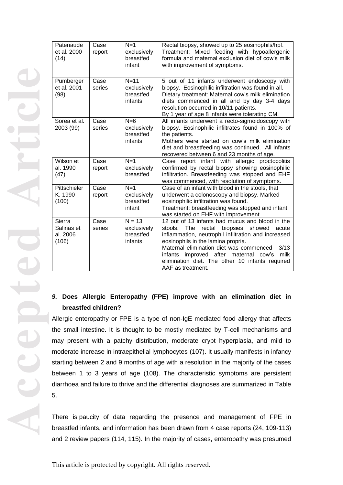| Patenaude<br>et al. 2000<br>(14)          | Case<br>report | $N=1$<br>exclusively<br>breastfed<br>infant      | Rectal biopsy, showed up to 25 eosinophils/hpf.<br>Treatment: Mixed feeding with hypoallergenic<br>formula and maternal exclusion diet of cow's milk<br>with improvement of symptoms.                                                                                                                                                                                           |
|-------------------------------------------|----------------|--------------------------------------------------|---------------------------------------------------------------------------------------------------------------------------------------------------------------------------------------------------------------------------------------------------------------------------------------------------------------------------------------------------------------------------------|
| Pumberger<br>et al. 2001<br>(98)          | Case<br>series | $N=11$<br>exclusively<br>breastfed<br>infants    | 5 out of 11 infants underwent endoscopy with<br>biopsy. Eosinophilic infiltration was found in all.<br>Dietary treatment: Maternal cow's milk elimination<br>diets commenced in all and by day 3-4 days<br>resolution occurred in 10/11 patients.<br>By 1 year of age 8 infants were tolerating CM.                                                                             |
| Sorea et al.<br>2003 (99)                 | Case<br>series | $N=6$<br>exclusively<br>breastfed<br>infants     | All infants underwent a recto-sigmoidoscopy with<br>biopsy. Eosinophilic infiltrates found in 100% of<br>the patients.<br>Mothers were started on cow's milk elimination<br>diet and breastfeeding was continued. All infants<br>recovered between 6 and 23 months of age.                                                                                                      |
| Wilson et<br>al. 1990<br>(47)             | Case<br>report | $N=1$<br>exclusively<br>breastfed                | Case report infant with allergic proctocolitis<br>confirmed by rectal biopsy showing eosinophilic<br>infiltration. Breastfeeding was stopped and EHF<br>was commenced, with resolution of symptoms.                                                                                                                                                                             |
| Pittschieler<br>K. 1990<br>(100)          | Case<br>report | $N=1$<br>exclusively<br>breastfed<br>infant      | Case of an infant with blood in the stools, that<br>underwent a colonoscopy and biopsy. Marked<br>eosinophilic infiltration was found.<br>Treatment: breastfeeding was stopped and infant<br>was started on EHF with improvement.                                                                                                                                               |
| Sierra<br>Salinas et<br>al. 2006<br>(106) | Case<br>series | $N = 13$<br>exclusively<br>breastfed<br>infants. | 12 out of 13 infants had mucus and blood in the<br>biopsies showed<br>stools.<br>The<br>rectal<br>acute<br>inflammation, neutrophil infiltration and increased<br>eosinophils in the lamina propria.<br>Maternal elimination diet was commenced - 3/13<br>infants improved after maternal cow's<br>milk<br>elimination diet. The other 10 infants required<br>AAF as treatment. |

# 9. Does Allergic Enteropathy (FPE) improve with an elimination diet in **breastfed children?**

Allergic enteropathy or FPE is a type of non -IgE mediated food allergy that affects the small intestine. It is thought to be mostly mediated by T -cell mechanisms and may present with a patchy distribution, moderate crypt hyperplasia, and mild to moderate increase in intraepithelial lymphocytes (107). It usually manifests in infancy starting between 2 and 9 months of age with a resolution in the majority of the cases between 1 to 3 years of age (108) . The characteristic symptoms are persistent diarrh oea and failure to thrive and the differential diagnoses are summarized in Table 5.

There is paucity of data regarding the presence and management of FPE in breastfed infants , and information has been drawn from 4 case reports (24, 109 -113) and 2 review papers (114, 115). In the majority of cases, enteropathy was presumed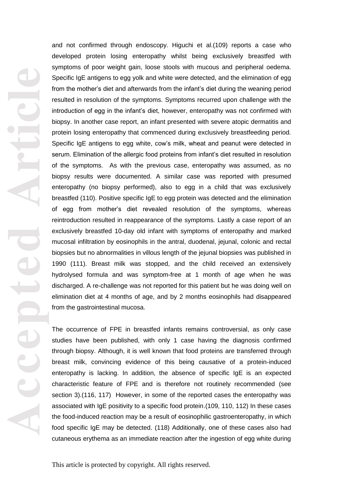and not confirmed through endoscopy. Higuchi et al.(109) reports a case who developed protein losing enteropathy whilst being exclusively breastfed with symptoms of poor weight gain, loose stools with mucous and peripheral oedema. Specific IgE antigens to egg yolk and white were detected , and the elimination of egg from the mother's diet and afterwards from the infant's diet during the weaning period resulted in resolution of the symptoms. Symptoms recurred upon challenge with the introduction of egg in the infant's diet, however, enteropathy was not confirmed with biopsy. In another case report, an infant presented with severe atopic dermatitis and protein losing enteropathy that commenced during exclusively breastfeeding period. Specific IgE antigens to egg white, cow's milk, wheat and peanut were detected in serum. Elimination of the allergic food proteins from infant's diet resulted in resolution of the symptoms. As with the previous case, enteropathy was assumed, as no biopsy results were documented. A similar case was reported with presumed enteropathy (no biopsy performed), also to egg in a child that was exclusively breast fed (110) . Positive specific IgE to egg protein was detected and the elimination of egg from mother's diet reve aled resolution of the symptoms, whereas reintroduction resulted in reappearance of the symptoms. Lastly a case report of an exclusively breastfed 10-day old infant with symptoms of enteropathy and marked mucosal infiltration by eosinophils in the antral, duodenal, jejunal, colonic and rectal biopsies but no abnormalities in villous length of the jejunal biopsies was published in 1990 (111) . Breast milk was stopped , and the child received an extensively hydrolysed formula and was symptom -free at 1 month of age when he was discharged. A re -challenge was not reported for this patient but he was doing well on elimination diet at 4 months of age, and by 2 months eosinophils had disappeared from the gastrointestinal mucosa.

The occurrence of FPE in breastfed infants remains controversial, as only case studies have been published, with only 1 case having the diagnosis confirmed through biopsy. Although, it is well known that food proteins are transferred through breast milk, convincing evidence of this being causative of a protein -induced enteropathy is lacking. In addition, the absence of specific IgE is an expected characteristic feature of FPE and is therefore not routinely recommended (see section 3) .(116, 117) However , in some of the reported case s the enteropathy was associated with IgE positivity to a specific food protein .(109, 110, 112) In these cases the food -induced reaction may be a result of eosinophilic gastroenteropathy , in which food specific IgE may be detected . (118) Additionally , one of these cases also had cutaneous erythema as an immediate reaction after the ingestion of egg white during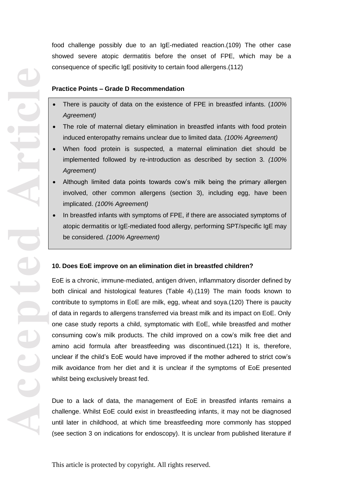food challenge possibly due to an IgE -mediated reaction .(109) The other case showed severe atopic dermatitis before the onset of FPE , which may be a consequence of specific IgE positivity to certain food allergens .(112)

## **Practice Points – Grade D Recommendation**

- There is paucity of data on the existence of FPE in breastfed infants. (*100% Agreement)*
- The role of maternal dietary elimination in breastfed infants with food protein induced enteropathy remains unclear due to limited data. *(100% Agreement)*
- When food protein is suspected, a maternal elimination diet should be implemented followed by re -introduction as described by section 3. *(100% Agreement)*
- Although limited data points towards cow's milk being the primary allergen involved, other common allergens (section 3), including egg, have been implicated. *(100% Agreement)*
- In breastfed infants with symptoms of FPE, if there are associated symptoms of atopic dermatitis or IgE -mediated food allergy, performing SPT/specific IgE may be considered. *(100% Agreement)*

# **10. Does EoE improve on an elimination diet in breastfed children?**

EoE is a chronic , immune -mediated, antigen driven, inflammatory disorder defined by both clinical and histological features (Table 4) .(119) The main foods known to contribute to symptoms in EoE are milk, egg, wheat and soy a .(120) There is paucity of data in regards to allergens transferred via breast milk and its impact on EoE. Only one case study reports a child, symptomatic with EoE, while breastfed and mother consuming cow's milk products. The child improved on a cow's milk free diet and amino acid formula after breastfeeding was discontinued.(121) It is , therefore , unclear if the child's EoE would have improved if the mother adhered to strict cow's milk avoidance from her diet and it is unclear if the symptoms of EoE presented whilst being exclusively breast fed .

Due to a lack of data, the management of EoE in breastfed infants remains a challenge. Whilst EoE could exist in breastfeeding infants, it may not be diagnosed until later in childhood, at which time breastfeeding more commonly has stopped (see section 3 on indications for endoscopy) . It is unclear from published literature if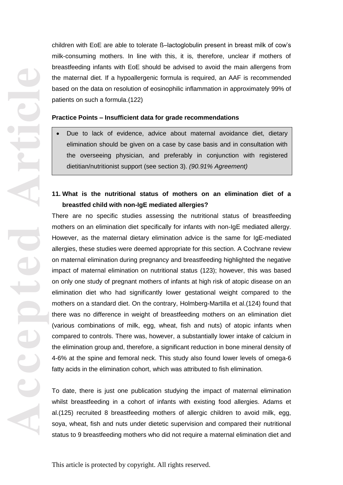children with EoE are able to tolerate ß –lactoglobulin present in breast milk of cow's milk -consuming mothers. In line with this, it is, therefore, unclear if mothers of breastfeeding infants with EoE should be advised to avoid the main allergens from the maternal diet. If a hypoallergenic formula is required , an AAF is recommended based on the data on resolution of eosinophilic inflammation in approximately 99% of patients on such a formula .(122)

## **Practice Points – Insufficient data for grade recommendations**

elimination should be given on a case by case basis and in consultation with the overseeing physician, and preferably in conjunction with registered dietitian/nutritionist support (see section 3). *(90.91% Agreement)*

# **11. What is the nutritional status of mothers on an elimination diet of a breastfed child with non -IgE mediated allergies?**

There are no specific studies assessing the nutritional status of breastfeeding mothers on an elimination diet specifically for infants with non -IgE mediated allergy. However, as the maternal dietary elimination advice is the same for IgE -mediated allergies, these studies were deemed appropriate for this section. A Cochran e review on maternal elimination during pregnancy and breastfeeding highlighted the negative impact of maternal elimination on nutritional status (123); however, this was based on only one study of pregnant mothers of infants at high risk of atopic disease on an elimination diet who had significantly lower gestational weight compared to the mothers on a standard diet. On the contrary, Holmberg -Martilla et al.(124) found that there was no difference in weight of breastfeeding mothers on an elimination diet (various combinations of milk, egg, wheat, fish and nuts) of atopic infants when compared to controls. There was , however , a substantially lower intake of calcium in the elimination group and, therefore, a significant reduction in bone mineral density of 4 -6% at the spine and femoral neck. This study also found lower levels of omega -6 fatty acids in the elimination cohort, which was attributed to fish elimination. • Due to lack of evidence, advice about maternal avoidance diet, dietary<br>
elimination should be given on a case by case basis and in consultation with<br>
the overseeing physician, and preferably in conjunction with registere

To date , there is just one publication studying the impact of maternal elimination whilst breastfeeding in a cohort of infants with existing food allergies. Adams et al.(125) recruited 8 breastfeeding mothers of allergic children to avoid milk, egg, soy a, wheat, fish and nuts under dietetic supervision and compared their nutritional

**Accepted Article**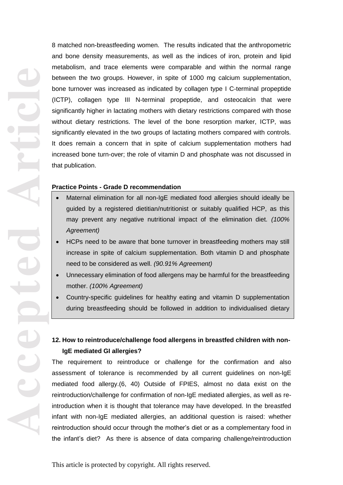**Accepted Article** advice. *(100% Agreement)*

8 matched non -breastfeeding women. The results indicated that the anthropometric and bone density measurements, as well as the indices of iron, protein and lipid metabolism, and trace elements were comparable and within the normal range between the two groups. However, in spite of 1000 mg calcium supplementation, bone turnover was increased as indicated by collagen type I C -terminal propeptide (ICTP), collagen type III N -terminal propeptide , and osteocalcin that were significantly higher in lactating mothers with dietary restrictions compared with those without dietary restrictions. The level of the bone resorption marker, ICTP, was significantly elevated in the two groups of lactating mothers compared with controls. It does remain a concern that in spite of calcium supplementation mothers had increased bone turn -over; the role of vitamin D and phosphate was not discussed in that publication .

### **Practice Points - Grade D recommendation**

- guided by a registered dietitian/nutritionist or suitably qualified HCP, as this may prevent any negative nutritional impact of the elimination diet. *(100% Agreement)*
- HCPs need to be aware that bone turnover in breastfeeding mothers may still increase in spite of calcium supplementation. Both vitamin D and phosphate need to be considered as well. *(90.91% Agreement)*
- Unnecessary elimination of food allergens may be harmful for the breastfeeding mother. *(100% Agreement)*
- Country -specific guidelines for healthy eating and vitamin D supplementation during breastfeeding should be followed in addition to individualised dietary

# **12. How to reintroduce/challenge food allergens in breastfed children with non - IgE mediated GI allergies?**

The requirement to reintroduce or challenge for the confirmation and also assessment of tolerance is recommended by all current guidelines on non -IgE mediated food allergy.(6, 40) Outside of FPIES, almost no data exist on the reintroduction/challenge for confirmation of non -IgE mediated allergies , as well as re introduction when it is thought that tolerance may have developed. In the breastfed infant with non -IgE mediated allergies, an additional question is raised : whether reintroduction should occur through the mother's diet or as a complementary food in Maternal elimination for all non-IgE mediated food allergies should ideally be<br>
guided by a registered dietitian/nutritionist or suitably qualified HCP, as this<br>
may prevent any negative nutritional impact of the eliminati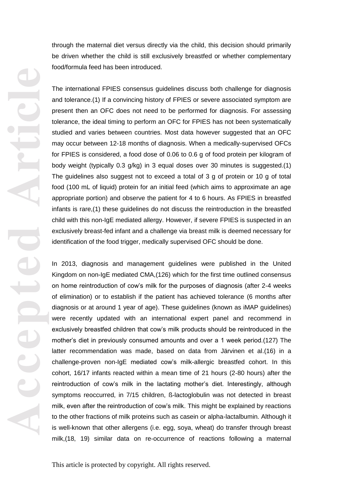through the maternal diet versus directly via the child, this decision should primarily be driven whether the child is still exclusively breastfed or whether complementary food/formula feed has been introduced.<br>The international FPIES consensus guidelines discuss both challenge for diagnosis

and tolerance.(1) If a convincing history of FPIES or severe associated symptom are present then an OFC does not need to be performed for diagnosis. For assessing tolerance, the ideal timing to perform an OFC for FPIES has not been systematically studied and varies between countries. Most data however suggested that an OFC may occur between 12 -18 months of diagnosis. When a medically -supervised OFCs for FPIES is considered, a food dose of 0.06 to 0.6 g of food protein per kilogram of body weight (typically 0.3 g/kg) in 3 equal doses over 30 minutes is suggested .(1) The guidelines also suggest not to exceed a total of 3 g of protein or 10 g of total food (100 mL of liquid) protein for an initial feed (which aims to approximate an age appropriate portion) and observe the patient for 4 to 6 hours. As FPIES in breastfed infants is rare ,(1) these guidelines do not discuss the reintroduction in the breastfed child with this non -IgE mediated allergy. However, if severe FPIES is suspected in an exclusively breast -fed infant and a challenge via breast milk is deemed necessary for identification of the food trigger, medically supervised OFC should be done.

In 2013, diagnosis and management guidelines were published in the United Kingdom on non -IgE mediated CMA ,(126) which for the first time outlined consensus on home reintroduction of cow's milk for the purposes of diagnosis (after 2 -4 weeks of elimination) or to establish if the patient has achieved tolerance (6 months after diagnosis or at around 1 year of age). These guidelines (known as iMAP guidelines) were recently updated with an international expert panel and recommend in exclusively breastfed children that cow's milk products should be reintroduced in the mother's diet in previously consumed amounts and over a 1 week period.(127) The latter recommendation was made, based on data from Järvinen et al .(16) in a challenge-proven non-IgE mediated cow's milk-allergic breastfed cohort. In this cohort, 16/17 infants reacted within a mean time of 21 hours (2 -80 hours) after the reintroduction of cow's milk in the lactating mother's diet. Interestingly, although symptoms reoccurred, in 7/15 children , ß -lactoglob ulin was not detected in breast milk, even after the reintroduction of cow's milk. This might be explained by reactions to the other fractions of milk proteins such as casein or alpha -lactalbumin. Although it is well -known that other allergens (i.e. egg, soya, wheat) do transfer through breast milk,(18, 19) similar data on re -occurrence of reactions following a maternal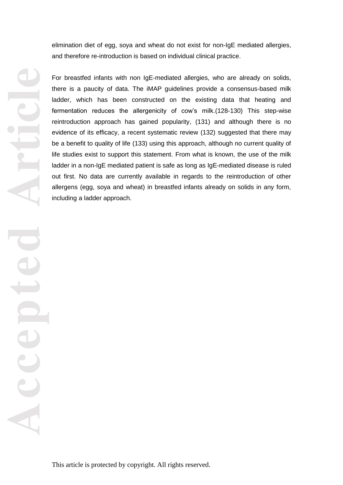elimination diet of egg, soya and wheat do not exist for non -IgE mediated allergies , and therefore re -introduction is based on individual clinical practice.

For breastfed infants with non IgE -mediated allergies, who are already on solids, there is a paucity of data. The iMAP guidelines provide a consensus -based milk ladder, which has been constructed on the existing data that heating and fermentation reduces the allergenicity of cow's milk.(128 -130) This step -wise reintroduction approach has gained popularity, (131) and although there is no evidence of its efficacy, a recent systematic review (132) suggested that there may be a benefit to quality of life (133) using this approach, although no current quality of life studies exist to support this statement. From what is known, the use of the milk ladder in a non -IgE mediated patient is safe as long as IgE -mediated disease is ruled out first. No data are currently available in regards to the reintroduction of other allergens (egg, soya and wheat) in breastfed infants already on solids in any form, including a ladder approach.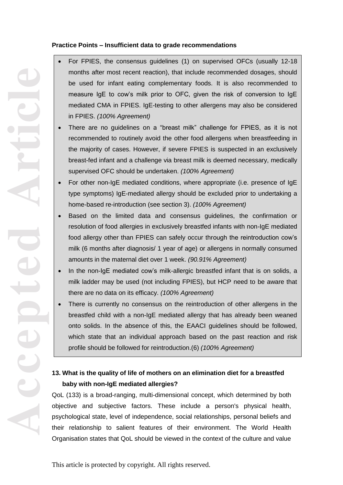# **Practice Points – Insufficient data to grade recommendations**

- For FPIES, the consensus guidelines (1) on supervised OFCs (usually 12 -18 months after most recent reaction), that include recommended dosages, should be used for infant eating complementary foods. It is also recommended to measure IgE to cow's milk prior to OFC, given the risk of conversion to IgE mediated CMA in FPIES. IgE-testing to other allergens may also be considered in FPIES. *(100% Agreement)*
- There are no guidelines on a "breast milk" challenge for FPIES, as it is not recommended to routinely avoid the other food allergens when breastfeeding in the majority of cases. However, if severe FPIES is suspected in an exclusively breast -fed infant and a challenge via breast milk is deemed necessary, medically supervised OFC should be undertaken. *(100% Agreement)*
- For other non-IgE mediated conditions, where appropriate (i.e. presence of IgE type symptoms) IgE -mediated allergy should be excluded prior to undertaking a home-based re-introduction (see section 3). *(100% Agreement)*
- Based on the limited data and consensus guidelines, the confirmation or resolution of food allergies in exclusively breastfed infants with non -IgE mediated food allergy other than FPIES can safely occur through the reintroduction cow's milk (6 months after diagnosis/ 1 year of age) or allergens in normally consumed amounts in the maternal diet over 1 week. *(90.91% Agreement)*
- In the non-IgE mediated cow's milk-allergic breastfed infant that is on solids, a milk ladder may be used (not including FPIES), but HCP need to be aware that there are no data on its efficacy. *(100% Agreement)*
- There is currently no consensus on the reintroduction of other allergens in the breastfed child with a non -IgE mediated allergy that has already been weaned onto solids. In the absence of this, the EAACI guidelines should be followed, which state that an individual approach based on the past reaction and risk profile should be followed for reintroduction.(6) *(100% Agreement)*

# **13. What is the quality of life of mothers on an elimination diet for a breastfed baby with non -IgE mediated allergies?**

QoL (133) is a broad-ranging, multi-dimensional concept, which determined by both objective and subjective factors. These include a person's physical health, psychological state, level of independence, social relationships, personal beliefs and their relationship to salient features of their environment. The World Health Organisation state s that QoL should be viewed in the context of the culture and value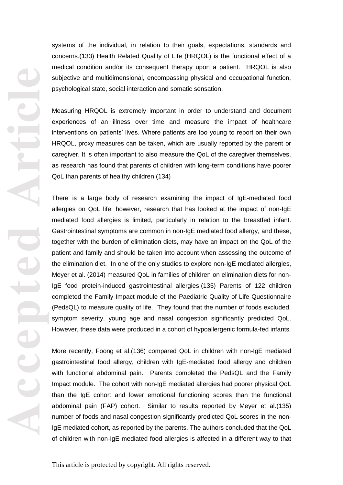systems of the individual, in relation to their goals, expectations, standards and concerns .(133) Health Related Quality of Life (HRQOL) is the functional effect of a medical condition and/or its consequent therapy upon a patient. HRQOL is also subjective and multidimensional, encompassing physical and occupational function, psychological state, social interaction and somatic sensation .

Measuring HRQOL is extremely important in order to understand and document experiences of an illness over time and measure the impact of healthcare interventions on patients' lives. Where patients are too young to report on their own HRQOL, proxy measures can be taken, which are usually reported by the parent or caregiver. It is often important to also measure the QoL of the caregiver themselves, as research has found that parents of children with long -term conditions have poorer QoL than parents of healthy children .(134)

There is a large body of research examining the impact of IgE -mediated food allergies on QoL life ; however , research that has looked at the impact of non -IgE mediated food allergies is limited, particularly in relation to the breastfed infant. Gastrointestinal symptoms are common in non -IgE mediated food allergy , and these, together with the burden of elimination diets, may have an impact on the QoL of the patient and family and should be taken into account when assessing the outcome of the elimination diet. In one of the only studies to explore non -IgE mediated allergies, Meyer et al. (2014) measured QoL in families of children on elimination diets for non - IgE food protein -induced gastrointestinal allergies.(135) Parents of 122 children completed the Family Impact module of the Paediatric Quality of Life Questionnaire (PedsQL) to measure quality of life. They found that the number of foods excluded, symptom severity, young age and nasal congestion significantly predicted QoL . However, these data were produced in a cohort of hypoallergenic formula -fed infants.

More recently, Foong et al. (136) compared QoL in children with non-IgE mediated gastrointestinal food allergy, children with IgE -mediated food allergy and children with functional abdominal pain. Parents completed the PedsQL and the Family Impact module. The cohort with non -IgE mediated allergies had poorer physical QoL than the IgE cohort and lower emotional functioning scores than the functional abdominal pain (FAP ) cohort. Similar to results reported by Meyer et al .(135) number of foods and nasal congestion significantly predicted QoL scores in the non - IgE mediated cohort, as reported by the parents. The authors concluded that the QoL of children with non -IgE mediated food allergies is affected in a different way to that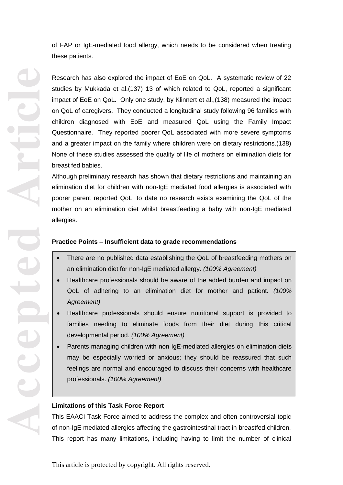of FAP or IgE -mediated food allergy, which needs to be considered when treating these patients.

Research has also explored the impact of EoE on QoL. A systematic review of 22 studies by Mukkada et al .(137) 13 of which related to QoL, reported a significant impact of EoE on QoL. Only one study, by Klinnert et al . ,(138) measured the impact on QoL of caregivers. They conducted a longitudinal study following 96 families with children diagnosed with EoE and measured QoL using the Family Impact Questionnaire. They reported poorer QoL associated with more severe symptoms and a greater impact on the family where children were on dietary restrictions .(138) None of these studies assessed the quality of life of mothers on elimination diets for breast fed babies.

Although preliminary research has shown that dietary restrictions and maintaining an elimination diet for children with non -IgE mediated food allergies is associated with poorer parent reported QoL, to date no research exists examining the QoL of the mother on an elimination diet whilst breastfeeding a baby with non -IgE mediated allergies.

## **Practice Points – Insufficient data to grade recommendations**

- an elimination diet for non -IgE mediated allergy. *(100% Agreement)*
- Healthcare professionals should be aware of the added burden and impact on QoL of adhering to an elimination diet for mother and patient. *(100% Agreement)*
- Healthcare professionals should ensure nutritional support is provided to families needing to eliminate foods from their diet during this critical developmental period. *(100% Agreement)*
- There are no published data establishing the QoL of breastfeeding mothers on<br>
an elimination diet for non-IgE mediated allergy. (100% Agreement)<br>
 Healthcare professionals should be aware of the added burden and impact Parents managing children with non IgE -mediated allergies on elimination diets may be especially worried or anxious; they should be reassured that such feelings are normal and encouraged to discuss their concerns with healthcare professionals. *(100% Agreement)*

### **Limitations of this Task Force Report**

This EAACI Task Force aimed to address the complex and often controversial topic of non -IgE mediated allergies affecting the gastrointestinal tract in breastfed children.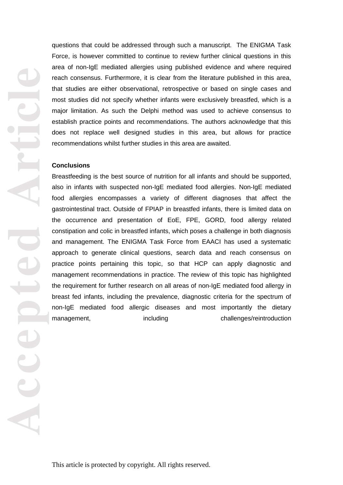**Accepted Article**

questions that could be addressed through such a manuscript. The ENIGMA Task Force, is however committed to continue to review further clinical questions in this area of non -IgE mediated allergies using published evidence and where required reach consensus. Furthermore, it is clear from the literature published in this are a, that studies are either observational, retrospective or based on single cases and most studies did not specify whether infants were exclusively breastfed, which is a major limitation. As such the Delphi method was used to achieve consensus to establish practice points and recommendations. The authors acknowledge that this does not replace well designed studies in this area, but allows for practice recommendations whilst further studies in this area are awaited.

#### **Conclusion s**

Breastfeeding is the best source of nutrition for all infants and should be supported, also in infants with suspected non -IgE mediated food allergies. Non -IgE mediated food allergies encompasses a variety of different diagnoses that affect the gastrointestinal tract. Outside of FPIA P in breastfed infants, there is limited data on the occurrence and presentation of EoE, FPE, GORD, food allergy related constipation and colic in breastfed infants, which poses a challenge in both diagnosis and management. The ENIGMA Task Force from EAACI has used a systematic approach to generate clinical questions, search data and reach consensus on practice points pertaining this topic, so that HCP can apply diagnostic and management recommendations in practice. The review of this topic has highlighted the requirement for further research on all areas of non -IgE mediated food allergy in breast fed infants, including the prevalence, diagnostic criteria for the spectrum of non -IgE mediated food allergic diseases and most importantly the dietary management including challenges/reintroduction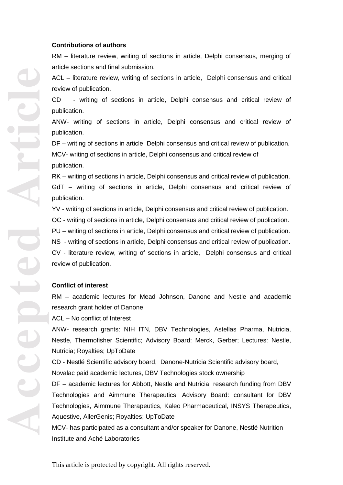#### **Contributions of authors**

RM – literature review, writing of sections in article, Delphi consensus, merging of article sections and final submission.

ACL – literature review, writing of sections in article, Delphi consensus and critical review of publication.

CD - writing of sections in article, Delphi consensus and critical review of publication.

ANW - writing of sections in article, Delphi consensus and critical review of publication.

DF – writing of sections in article, Delphi consensus and critical review of publication.

MCV - writing of sections in article, Delphi consensus and critical review of publication.

RK – writing of sections in article, Delphi consensus and critical review of publication. GdT – writing of sections in article, Delphi consensus and critical review of publication.

YV - writing of sections in article, Delphi consensus and critical review of publication.

OC - writing of sections in article, Delphi consensus and critical review of publication.

PU – writing of sections in article, Delphi consensus and critical review of publication.

NS - writing of sections in article, Delphi consensus and critical review of publication. CV - literature review, writing of sections in article, Delphi consensus and critical review of publication.

#### **Conflict of interest**

RM – academic lectures for Mead Johnson, Danone and Nestle and academic research grant holder of Danone

ACL – No conflict of Interest

ANW - research grants: NIH ITN, DBV Technologies, Astellas Pharma, Nutricia, Nestle, Thermofisher Scientific; Advisory Board: Merck, Gerber; Lectures: Nestle, Nutricia; Royalties; UpToDate

CD - Nestlé Scientific advisory board, Danone -Nutricia Scientific advisory board, Novalac paid academic lectures, DBV Technologies stock ownership

DF – academic lectures for Abbott, Nestle and Nutricia. research funding from DBV Technologies and Aimmune Therapeutics; Advisory Board: consultant for DBV Technologies, Aimmune Therapeutics, Kaleo Pharmaceutical, INSYS Therapeutics, Aquestive, AllerGenis; Royalties; UpToDate

MCV - has participated as a consultant and/or speaker for Danone, Nestlé Nutrition Institute and Aché Laboratories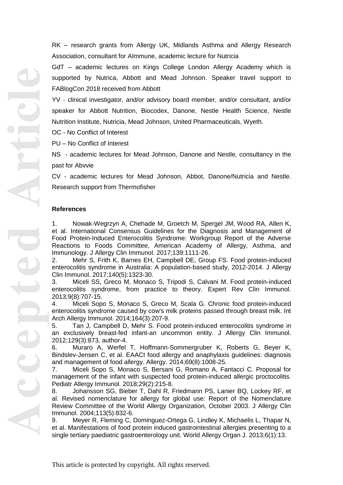RK – research grants from Allergy UK, Midlands Asthma and Allergy Research Association, consultant for AImmune, academic lecture for Nutricia

GdT – academic lectures on Kings College London Allergy Academy which is supported by Nutri ca, Abbott and Mead Johnson. Speaker travel support to FABlogCon 2018 received from Abbott

YV - clinical investigator, and/or advisory board member, and/or consultant, and/or speaker for Abbott Nutrition, Biocodex, Danone, Nestle Health Science, Nestle Nutrition Institute, Nutricia, Mead Johnson, United Pharmaceuticals, Wyeth.

OC - No Conflict of Interest

PU – No Conflict of Interest

NS - academic lectures for Mead Johnson, Danone and Nestle, consultancy in the past for Abvvie

CV - academic lectures for Mead Johnson, Abbot, Danone/Nutricia and Nestle. Research support from Thermofisher

#### **References**

1. Nowak -Wegrzyn A, Chehade M, Groetch M, Spergel JM, Wood RA, Allen K, et al. International Consensus Guidelines for the Diagnosis and Management of Food Protein -Induced Enterocolitis Syndrome: Workgroup Report of the Adverse Reactions to Foods Committee, American Academy of Allergy, Asthma, and Immunology. J Allergy Clin Immunol. 2017;139:1111 -26.

2. Mehr S, Frith K, Barnes EH, Campbell DE, Group FS. Food protein -induced enterocolitis syndrome in Australia: A population -based study, 2012 -2014. J Allergy Clin Immunol. 2017;140(5):1323 - 30.

3. Miceli SS, Greco M, Monaco S, Tripodi S, Calvani M. Food protein -induced enterocolitis syndrome, from practice to theory. Expert Rev Clin Immunol. 2013;9(8):707 -15.

4. Miceli Sopo S, Monaco S, Greco M, Scala G. Chronic food protein -induced enterocolitis syndrome caused by cow's milk proteins passed through breast milk. Int Arch Allergy Immunol. 2014;164(3):207 -9.

5. Tan J, Campbell D, Mehr S. Food protein -induced enterocolitis syndrome in an exclusively breast-fed infant-an uncommon entity. J Allergy Clin Immunol. 2012;129(3):873, author -4.

6. Muraro A, Werfel T, Hoffmann -Sommergruber K, Roberts G, Beyer K, Bindslev -Jensen C, et al. EAACI food allergy and anaphylaxis guidelines: diagnosis and management of food allergy. Allergy. 2014;69(8):1008 -25.

7. Miceli Sopo S, Monaco S, Bersani G, Romano A, Fantacci C. Proposal for management of the infant with suspected food protein -induced allergic proctocolitis. Pediatr Allergy Immunol. 2018;29(2):215 -8.

8. Johansson SG, Bieber T, Dahl R, Friedmann PS, Lanier BQ, Lockey RF, et al. Revised nomenclature for allergy for global use: Report of the Nomenclature Review Committee of the World Allergy Organization, October 2003. J Allergy Clin Immunol. 2004;113(5):832 -6.

9. Meyer R, Fleming C, Dominguez -Ortega G, Lindley K, Michaelis L, Thapar N, et al. Manifestations of food protein induced gastrointestinal allergies presenting to a single tertiary paediatric gastroenterology unit. World Allergy Organ J. 2013;6(1):13.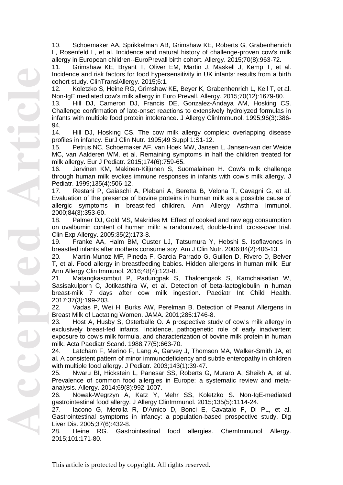10. Schoemaker AA, Sprikkelman AB, Grimshaw KE, Roberts G, Grabenhenrich L, Rosenfeld L, et al. Incidence and natural history of challenge -proven cow's milk allergy in European children--EuroPrevall birth cohort. Allergy. 2015;70(8):963 -72.

11. Grimshaw KE, Bryant T, Oliver EM, Martin J, Maskell J, Kemp T, et al. Incidence and risk factors for food hypersensitivity in UK infants: results from a birth cohort study. ClinTranslAllergy. 2015;6:1.

12. Koletzko S, Heine RG, Grimshaw KE, Beyer K, Grabenhenrich L, Keil T, et al. Non -IgE mediated cow's milk allergy in Euro Prevall. Allergy. 2015;70(12):1679 -80.

13. Hill DJ, Cameron DJ, Francis DE, Gonzalez -Andaya AM, Hosking CS. Challenge confirmation of late-onset reactions to extensively hydrolyzed formulas in infants with multiple food protein intolerance. J Allergy ClinImmunol. 1995;96(3):386 - 94.

14. Hill DJ, Hosking CS. The cow milk allergy complex: overlapping disease profiles in infancy. EurJ Clin Nutr. 1995;49 Suppl 1:S1 -12.

15. Petrus NC, Schoemaker AF, van Hoek MW, Jansen L, Jansen -van der Weide MC, van Aalderen WM, et al. Remaining symptoms in half the children treated for milk allergy. Eur J Pediatr. 2015;174(6):759 -65.

16. Jarvinen KM, Makinen -Kiljunen S, Suomalainen H. Cow's milk challenge through human milk evokes immune responses in infants with cow's milk allergy. J Pediatr. 1999;135(4):506 -12.

17. Restani P, Gaiaschi A, Plebani A, Beretta B, Velona T, Cavagni G, et al. Evaluation of the presence of bovine proteins in human milk as a possible cause of allergic symptoms in breast -fed children. Ann Allergy Asthma Immunol. 2000;84(3):353 -60.

18. Palmer DJ, Gold MS, Makrides M. Effect of cooked and raw egg consumption on ovalbumin content of human milk: a randomized, double -blind, cross -over trial. Clin Exp Allergy. 2005;35(2):173 -8.

19. Franke AA, Halm BM, Custer LJ, Tatsumura Y, Hebshi S. Isoflavones in breastfed infants after mothers consume soy. Am J Clin Nutr. 2006;84(2):406 -13.

20. Martin -Munoz MF, Pineda F, Garcia Parrado G, Guillen D, Rivero D, Belver T, et al. Food allergy in breastfeeding babies. Hidden allergens in human milk. Eur Ann Allergy Clin Immunol. 2016;48(4):123 -8.

21. Matangkasombut P, Padungpak S, Thaloengsok S, Kamchaisatian W, Sasisakulporn C, Jotikasthira W, et al. Detection of beta -lactoglobulin in human breast -milk 7 days after cow milk ingestion. Paediatr Int Child Health. 2017;37(3):199 -203.

22. Vadas P, Wei H, Burks AW, Perelman B. Detection of Peanut Allergens in Breast Milk of Lactating Women. JAMA. 2001;285:1746 -8.

23. Host A, Husby S, Osterballe O. A prospective study of cow's milk allergy in exclusively breast -fed infants. Incidence, pathogenetic role of early inadvertent exposure to cow's milk formula, and characterization of bovine milk protein in human milk. Acta Paediatr Scand. 1988;77(5):663 -70.

24. Latcham F, Merino F, Lang A, Garvey J, Thomson MA, Walker -Smith JA, et al. A consistent pattern of minor immunodeficiency and subtle enteropathy in children with multiple food allergy. J Pediatr. 2003;143(1):39 -47.

25. Nwaru BI, Hickstein L, Panesar SS, Roberts G, Muraro A, Sheikh A, et al. Prevalence of common food allergies in Europe: a systematic review and meta analysis. Allergy. 2014;69(8):992 -1007.

26. Nowak -Wegrzyn A, Katz Y, Mehr SS, Koletzko S. Non -IgE -mediated gastrointestinal food allergy. J Allergy ClinImmunol. 2015;135(5):1114 -24.

27. Iacono G, Merolla R, D'Amico D, Bonci E, Cavataio F, Di PL, et al. Gastrointestinal symptoms in infancy: a population -based prospective study. Dig Liver Dis. 2005;37(6):432 -8.

28. Heine RG. Gastrointestinal food allergies. ChemImmunol Allergy. 2015;101:171 -80.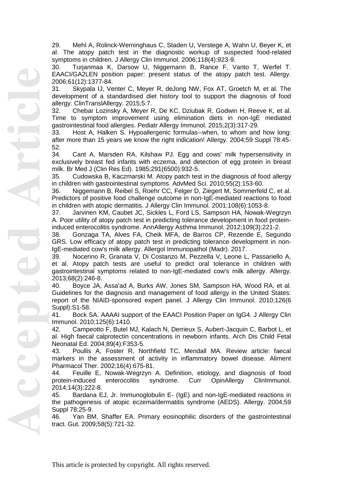29. Mehl A, Rolinck -Werninghaus C, Staden U, Verstege A, Wahn U, Beyer K, et al. The atopy patch test in the diagnostic workup of suspected food -related symptoms in children. J Allergy Clin Immunol. 2006;118(4):923 -9.

30. Turjanmaa K, Darsow U, Niggemann B, Rance F, Vanto T, Werfel T. EAACI/GA2LEN position paper: present status of the atopy patch test. Allergy. 2006;61(12):1377 -84.

31. Skypala IJ, Venter C, Meyer R, deJong NW, Fox AT, Groetch M, et al. The development of a standardised diet history tool to support the diagnosis of food allergy. ClinTranslAllergy. 2015;5:7.

32. Chebar Lozinsky A, Meyer R, De KC, Dziubak R, Godwin H, Reeve K, et al. Time to symptom improvement using elimination diets in non -IgE mediated gastrointestinal food allergies. Pediatr Allergy Immunol. 2015;2(3):317 -29.

33. Host A, Halken S. Hypoallergenic formulas--when, to whom and how long: after more than 15 years we know the right indication! Allergy. 2004;59 Suppl 78:45 - 52.

34. Cant A, Marsden RA, Kilshaw PJ. Egg and cows' milk hypersensitivity in exclusively breast fed infants with eczema, and detection of egg protein in breast milk. Br Med J (Clin Res Ed). 1985;291(6500):932 -5.

35. Cudowska B, Kaczmarski M. Atopy patch test in the diagnosis of food allergy in children with gastrointestinal symptoms. AdvMed Sci. 2010;55(2):153 -60.

36. Niggemann B, Reibel S, Roehr CC, Felger D, Ziegert M, Sommerfeld C, et al. Predictors of positive food challenge outcome in non -IgE -mediated reactions to food in children with atopic dermatitis. J Allergy Clin Immunol. 2001;108(6):1053 -8.

37. Jarvinen KM, Caubet JC, Sickles L, Ford LS, Sampson HA, Nowak -Wegrzyn A. Poor utility of atopy patch test in predicting tolerance development in food protein induced enterocolitis syndrome. AnnAllergy Asthma Immunol. 2012;109(3):221 -2.

38. Gonzaga TA, Alves FA, Cheik MFA, de Barros CP, Rezende E, Segundo GRS. Low efficacy of atopy patch test in predicting tolerance development in non - IgE -mediated cow's milk allergy. Allergol Immunopathol (Madr). 2017.

39. Nocerino R, Granata V, Di Costanzo M, Pezzella V, Leone L, Passariello A, et al. Atopy patch tests are useful to predict oral tolerance in children with gastrointestinal symptoms related to non -IgE -mediated cow's milk allergy. Allergy. 2013;68(2):246 -8.

40. Boyce JA, Assa'ad A, Burks AW, Jones SM, Sampson HA, Wood RA, et al. Guidelines for the diagnosis and management of food allergy in the United States: report of the NIAID-sponsored expert panel. J Allergy Clin Immunol. 2010;126(6 Suppl):S1 -58.

41. Bock SA. AAAAI support of the EAACI Position Paper on IgG4. J Allergy Clin Immunol. 2010;125(6):1410.

42. Campeotto F, Butel MJ, Kalach N, Derrieux S, Aubert -Jacquin C, Barbot L, et al. High faecal calprotectin concentrations in newborn infants. Arch Dis Child Fetal Neonatal Ed. 2004;89(4):F353 -5.

43. Poullis A, Foster R, Northfield TC, Mendall MA. Review article: faecal markers in the assessment of activity in inflammatory bowel disease. Aliment Pharmacol Ther. 2002;16(4):675 -81.

44. Feuille E, Nowak -Wegrzyn A. Definition, etiology, and diagnosis of food protein-induced enterocolitis syndrome. Curr OpinAllergy ClinImmunol. 2014;14(3):222 -8.

45. Bardana EJ, Jr. Immunoglobulin E - (IgE) and non -IgE -mediated reactions in the pathogenesis of atopic eczema/dermatitis syndrome (AEDS). Allergy. 2004;59 Suppl 78:25 -9.

46. Yan BM, Shaffer EA. Primary eosinophilic disorders of the gastrointestinal tract. Gut. 2009;58(5):721 -32.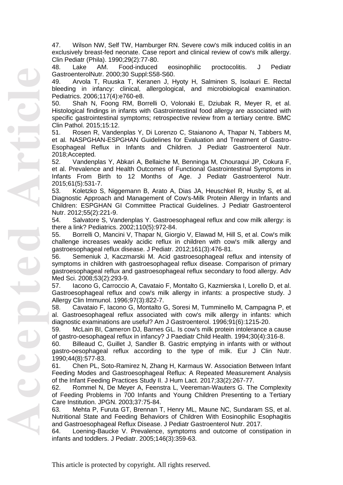47. Wilson NW, Self TW, Hamburger RN. Severe cow's milk induced colitis in an exclusively breast -fed neonate. Case report and clinical review of cow's milk allergy. Clin Pediatr (Phila). 1990;29(2):77 -80.

48. Lake AM. Food eosinophilic proctocolitis. J Pediatr GastroenterolNutr. 2000;30 Suppl:S58 -S60.

49. Arvola T, Ruuska T, Keranen J, Hyoty H, Salminen S, Isolauri E. Rectal bleeding in infancy: clinical, allergological, and microbiological examination. Pediatrics. 2006;117(4):e760 -e8.

50. Shah N, Foong RM, Borrelli O, Volonaki E, Dziubak R, Meyer R, et al. Histological findings in infants with Gastrointestinal food allergy are associated with specific gastrointestinal symptoms; retrospective review from a tertiary centre. BMC Clin Pathol. 2015;15:12.

51. Rosen R, Vandenplas Y, Di Lorenzo C, Staianono A, Thapar N, Tabbers M, et al. NASPGHAN -ESPGHAN Guidelines for Evaluation and Treatment of Gastro - Esophageal Reflux in Infants and Children. J Pediatr Gastroenterol Nutr. 2018;Accepted.

52. Vandenplas Y, Abkari A, Bellaiche M, Benninga M, Chouraqui JP, Cokura F, et al. Prevalence and Health Outcomes of Functional Gastrointestinal Symptoms in Infants From Birth to 12 Months of Age. J Pediatr Gastroenterol Nutr. 2015;61(5):531 -7.

53. Koletzko S, Niggemann B, Arato A, Dias JA, Heuschkel R, Husby S, et al. Diagnostic Approach and Management of Cow's -Milk Protein Allergy in Infants and Children: ESPGHAN GI Committee Practical Guidelines. J Pediatr Gastroenterol Nutr. 2012;55(2):221 -9.

54. Salvatore S, Vandenplas Y. Gastroesophageal reflux and cow milk allergy: is there a link? Pediatrics. 2002;110(5):972 -84.

55. Borrelli O, Mancini V, Thapar N, Giorgio V, Elawad M, Hill S, et al. Cow's milk challenge increases weakly acidic reflux in children with cow's milk allergy and gastroesophageal reflux disease. J Pediatr. 2012;161(3):476 - 81.

56. Semeniuk J, Kaczmarski M. Acid gastroesophageal reflux and intensity of symptoms in children with gastroesophageal reflux disease. Comparison of primary gastroesophageal reflux and gastroesophageal reflux secondary to food allergy. Adv Med Sci. 2008;53(2):293 -9.

57. Iacono G, Carroccio A, Cavataio F, Montalto G, Kazmierska I, Lorello D, et al. Gastroesophageal reflux and cow's milk allergy in infants: a prospective study. J Allergy Clin Immunol. 1996;97(3):822 -7.

58. Cavataio F, Iacono G, Montalto G, Soresi M, Tumminello M, Campagna P, et al. Gastroesophageal reflux associated with cow's milk allergy in infants: which diagnostic examinations are useful? Am J Gastroenterol. 1996;91(6):1215 -20.

59. McLain BI, Cameron DJ, Barnes GL. Is cow's milk protein intolerance a cause of gastro -oesophageal reflux in infancy? J Paediatr Child Health. 1994;30(4):316 -8.

60. Billeaud C, Guillet J, Sandler B. Gastric emptying in infants with or without gastro -oesophageal reflux according to the type of milk. Eur J Clin Nutr. 1990;44(8):577 -83.

61. Chen PL, Soto -Ramirez N, Zhang H, Karmaus W. Association Between Infant Feeding Modes and Gastroesophageal Reflux: A Repeated Measurement Analysis of the Infant Feeding Practices Study II. J Hum Lact. 2017;33(2):267 -77.

62. Rommel N, De Meyer A, Feenstra L, Veereman -Wauters G. The Complexity of Feeding Problems in 700 Infants and Young Children Presenting to a Tertiary Care Institution. JPGN. 2003;37:75 -84.

63. Mehta P, Furuta GT, Brennan T, Henry ML, Maune NC, Sundaram SS, et al. Nutritional State and Feeding Behaviors of Children With Eosinophilic Esophagitis and Gastroesophageal Reflux Disease. J Pediatr Gastroenterol Nutr. 2017.

64. Loening -Baucke V. Prevalence, symptoms and outcome of constipation in infants and toddlers. J Pediatr. 2005;146(3):359 -63.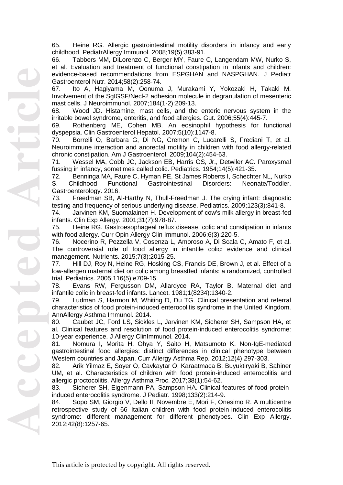65. Heine RG. Allergic gastrointestinal motility disorders in infancy and early childhood. PediatrAllergy Immunol. 2008;19(5):383 -91.

66. Tabbers MM, DiLorenzo C, Berger MY, Faure C, Langendam MW, Nurko S, et al. Evaluation and treatment of functional constipation in infants and children: evidence -based recommendations from ESPGHAN and NASPGHAN. J Pediatr Gastroenterol Nutr. 2014;58(2):258 -74.

67. Ito A, Hagiyama M, Oonuma J, Murakami Y, Yokozaki H, Takaki M. Involvement of the SgIGSF/Necl -2 adhesion molecule in degranulation of mesenteric mast cells. J Neuroimmunol. 2007;184(1 -2):209 -13.

68. Wood JD. Histamine, mast cells, and the enteric nervous system in the irritable bowel syndrome, enteritis, and food allergies. Gut. 2006;55(4):445 -7.

69. Rothenberg ME, Cohen MB. An eosinophil hypothesis for functional dyspepsia. Clin Gastroenterol Hepatol. 2007;5(10):1147 -8.

70. Borrelli O, Barbara G, Di NG, Cremon C, Lucarelli S, Frediani T, et al. Neuroimmune interaction and anorectal motility in children with food allergy -related chronic constipation. Am J Gastroenterol. 2009;104(2):454 -63.

71. Wessel MA, Cobb JC, Jackson EB, Harris GS, Jr., Detwiler AC. Paroxysmal fussing in infancy, sometimes called colic. Pediatrics. 1954;14(5):421 -35.

72. Benninga MA, Faure C, Hyman PE, St James Roberts I, Schechter NL, Nurko S. Childhood Functional Gastrointestinal Disorders: Neonate/Toddler. Gastroenterology. 2016.

73. Freedman SB, Al-Harthy N, Thull-Freedman J. The crying infant: diagnostic testing and frequency of serious underlying disease. Pediatrics. 2009;123(3):841 -8.

74. Jarvinen KM, Suomalainen H. Development of cow's milk allergy in breast -fed infants. Clin Exp Allergy. 2001;31(7):978 -87.

75. Heine RG. Gastroesophageal reflux disease, colic and constipation in infants with food allergy. Curr Opin Allergy Clin Immunol. 2006;6(3):220 -5.

76. Nocerino R, Pezzella V, Cosenza L, Amoroso A, Di Scala C, Amato F, et al. The controversial role of food allergy in infantile colic: evidence and clinical management. Nutrients. 2015;7(3):2015 -25.

77. Hill DJ, Roy N, Heine RG, Hosking CS, Francis DE, Brown J, et al. Effect of a low -allergen maternal diet on colic among breastfed infants: a randomized, controlled trial. Pediatrics. 2005;116(5):e709 -15.

78. Evans RW, Fergusson DM, Allardyce RA, Taylor B. Maternal diet and infantile colic in breast-fed infants. Lancet. 1981;1(8234):1340-2.

79. Ludman S, Harmon M, Whiting D, Du TG. Clinical presentation and referral characteristics of food protein-induced enterocolitis syndrome in the United Kingdom. AnnAllergy Asthma Immunol. 2014.

80. Caubet JC, Ford LS, Sickles L, Jarvinen KM, Sicherer SH, Sampson HA, et al. Clinical features and resolution of food protein -induced enterocolitis syndrome: 10 -year experience. J Allergy ClinImmunol. 2014.

81. Nomura I, Morita H, Ohya Y, Saito H, Matsumoto K. Non -IgE -mediated gastrointestinal food allergies: distinct differences in clinical phenotype between Western countries and Japan. Curr Allergy Asthma Rep. 2012;12(4):297 -303.

82. Arik Yilmaz E, Soyer O, Cavkaytar O, Karaatmaca B, Buyuktiryaki B, Sahiner UM, et al. Characteristics of children with food protein -induced enterocolitis and allergic proctocolitis. Allergy Asthma Proc. 2017;38(1):54 -62.

83. Sicherer SH, Eigenmann PA, Sampson HA. Clinical features of food protein induced enterocolitis syndrome. J Pediatr. 1998;133(2):214 -9.

84. Sopo SM, Giorgio V, Dello II, Novembre E, Mori F, Onesimo R. A multicentre retrospective study of 66 Italian children with food protein -induced enterocolitis syndrome: different management for different phenotypes. Clin Exp Allergy. 2012;42(8):1257 -65.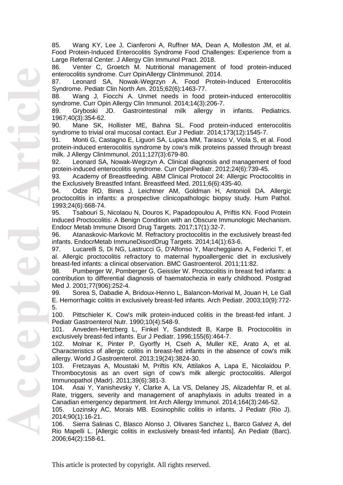85. Wang KY, Lee J, Cianferoni A, Ruffner MA, Dean A, Molleston JM, et al. Food Protein -Induced Enterocolitis Syndrome Food Challenges: Experience from a Large Referral Center. J Allergy Clin Immunol Pract. 2018.

86. Venter C, Groetch M. Nutritional management of food protein -induced enterocolitis syndrome. Curr OpinAllergy ClinImmunol. 2014.

87. Leonard SA, Nowak -Wegrzyn A. Food Protein -Induced Enterocolitis Syndrome. Pediatr Clin North Am. 2015;62(6):1463 -77.

88. Wang J, Fiocchi A. Unmet needs in food protein -induced enterocolitis syndrome. Curr Opin Allergy Clin Immunol. 2014;14(3):206 -7.

89. Gryboski JD. Gastrointestinal milk allergy in infants. Pediatrics. 1967;40(3):354 -62.

90. Mane SK, Hollister ME, Bahna SL. Food protein -induced enterocolitis syndrome to trivial oral mucosal contact. Eur J Pediatr. 2014;173(12):1545 -7.

91. Monti G, Castagno E, Liguori SA, Lupica MM, Tarasco V, Viola S, et al. Food protein -induced enterocolitis syndrome by cow's milk proteins passed through breast milk. J Allergy ClinImmunol. 2011;127(3):679 -80.

92. Leonard SA, Nowak -Wegrzyn A. Clinical diagnosis and management of food protein -induced enterocolitis syndrome. Curr OpinPediatr. 2012;24(6):739 -45.

93. Academy of Breastfeeding. ABM Clinical Protocol 24: Allergic Proctocolitis in the Exclusively Breastfed Infant. Breastfeed Med. 2011;6(6):435 -40.

94. Odze RD, Bines J, Leichtner AM, Goldman H, Antonioli DA. Allergic proctocolitis in infants: a prospective clinicopathologic biopsy study. Hum Pathol. 1993;24(6):668 -74.

95. Tsabouri S, Nicolaou N, Douros K, Papadopoulou A, Priftis KN. Food Protein Induced Proctocolitis: A Benign Condition with an Obscure Immunologic Mechanism. Endocr Metab Immune Disord Drug Targets. 2017;17(1):32 -7.

96. Atanaskovic-Markovic M. Refractory proctocolitis in the exclusively breast-fed infants. EndocrMetab ImmuneDisordDrug Targets. 2014;14(1):63 -6.

97. Lucarelli S, Di NG, Lastrucci G, D'Alfonso Y, Marcheggiano A, Federici T, et al. Allergic proctocolitis refractory to maternal hypoallergenic diet in exclusively breast -fed infants: a clinical observation. BMC Gastroenterol. 2011;11:82.

98. Pumberger W, Pomberger G, Geissler W. Proctocolitis in breast fed infants: a contribution to differential diagnosis of haematochezia in early childhood. Postgrad Med J. 2001;77(906):252 -4.

99. Sorea S, Dabadie A, Bridoux-Henno L, Balancon-Morival M, Jouan H, Le Gall E. Hemorrhagic colitis in exclusively breast -fed infants. Arch Pediatr. 2003;10(9):772 - 5.

100. Pittschieler K. Cow's milk protein -induced colitis in the breast -fed infant. J Pediatr Gastroenterol Nutr. 1990;10(4):548 -9.

101. Anveden -Hertzberg L, Finkel Y, Sandstedt B, Karpe B. Proctocolitis in exclusively breast -fed infants. Eur J Pediatr. 1996;155(6):464 -7.

102. Molnar K, Pinter P, Gyorffy H, Cseh A, Muller KE, Arato A, et al. Characteristics of allergic colitis in breast -fed infants in the absence of cow's milk allergy. World J Gastroenterol. 2013;19(24):3824 -30.

103. Fretzayas A, Moustaki M, Priftis KN, Attilakos A, Lapa E, Nicolaidou P. Thrombocytosis as an overt sign of cow's milk allergic proctocolitis. Allergol Immunopathol (Madr). 2011;39(6):381 -3.

104. Asai Y, Yanishevsky Y, Clarke A, La VS, Delaney JS, Alizadehfar R, et al. Rate, triggers, severity and management of anaphylaxis in adults treated in a Canadian emergency department. Int Arch Allergy Immunol. 2014;164(3):246 -52.

105. Lozinsky AC, Morais MB. Eosinophilic colitis in infants. J Pediatr (Rio J). 2014;90(1):16 -21.

106. Sierra Salinas C, Blasco Alonso J, Olivares Sanchez L, Barco Galvez A, del Rio Mapelli L. [Allergic colitis in exclusively breast -fed infants]. An Pediatr (Barc). 2006;64(2):158 -61.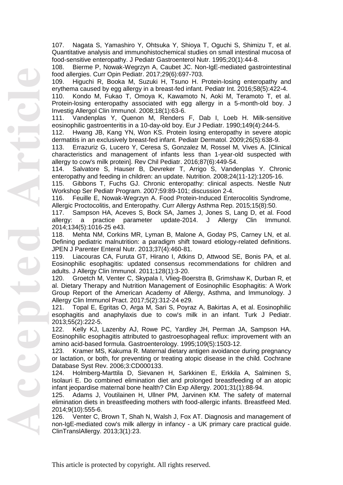107. Nagata S, Yamashiro Y, Ohtsuka Y, Shioya T, Oguchi S, Shimizu T, et al. Quantitative analysis and immunohistochemical studies on small intestinal mucosa of food -sensitive enteropathy. J Pediatr Gastroenterol Nutr. 1995;20(1):44 -8.

108. Bierme P, Nowak -Wegrzyn A, Caubet JC. Non -IgE - mediated gastrointestinal food allergies. Curr Opin Pediatr. 2017;29(6):697 -703.

109. Higuchi R, Booka M, Suzuki H, Tsuno H. Protein -losing enteropathy and erythema caused by egg allergy in a breast -fed infant. Pediatr Int. 2016;58(5):422 -4.

110. Kondo M, Fukao T, Omoya K, Kawamoto N, Aoki M, Teramoto T, et al. Protein-losing enteropathy associated with egg allergy in a 5-month-old boy. J Investig Allergol Clin Immunol. 2008;18(1):63 -6.

111. Vandenplas Y, Quenon M, Renders F, Dab I, Loeb H. Milk -sensitive eosinophilic gastroenteritis in a 10 -day -old boy. Eur J Pediatr. 1990;149(4):244 -5.

112. Hwang JB, Kang YN, Won KS. Protein losing enteropathy in severe atopic dermatitis in an exclusively breast -fed infant. Pediatr Dermatol. 2009;26(5):638 -9.

113. Errazuriz G, Lucero Y, Ceresa S, Gonzalez M, Rossel M, Vives A. [Clinical characteristics and management of infants less than 1 -year -old suspected with allergy to cow's milk protein]. Rev Chil Pediatr. 2016;87(6):449 -54.

114. Salvatore S, Hauser B, Devreker T, Arrigo S, Vandenplas Y. Chronic enteropathy and feeding in children: an update. Nutrition. 2008;24(11 -12):1205 -16.

115. Gibbons T, Fuchs GJ. Chronic enteropathy: clinical aspects. Nestle Nutr Workshop Ser Pediatr Program. 2007;59:89 -101; discussion 2 -4.

116. Feuille E, Nowak -Wegrzyn A. Food Protein -Induced Enterocolitis Syndrome, Allergic Proctocolitis, and Enteropathy. Curr Allergy Asthma Rep. 2015;15(8):50.

117. Sampson HA, Aceves S, Bock SA, James J, Jones S, Lang D, et al. Food allergy: a practice parameter update-2014. J Allergy Clin Immunol. allergy: a practice parameter update -2014. J Allergy Clin Immunol. 2014;134(5):1016 -25 e43.

118. Mehta NM, Corkins MR, Lyman B, Malone A, Goday PS, Carney LN, et al. Defining pediatric malnutrition: a paradigm shift toward etiology -related definitions. JPEN J Parenter Enteral Nutr. 2013;37(4):460 -81.

119. Liacouras CA, Furuta GT, Hirano I, Atkins D, Attwood SE, Bonis PA, et al. Eosinophilic esophagitis: updated consensus recommendations for children and adults. J Allergy Clin Immunol. 2011;128(1):3 -20.

120. Groetch M, Venter C, Skypala I, Vlieg -Boerstra B, Grimshaw K, Durban R, et al. Dietary Therapy and Nutrition Management of Eosinophilic Esophagitis: A Work Group Report of the American Academy of Allergy, Asthma, and Immunology. J Allergy Clin Immunol Pract. 2017;5(2):312 -24 e29.

121. Topal E, Egritas O, Arga M, Sari S, Poyraz A, Bakirtas A, et al. Eosinophilic esophagitis and anaphylaxis due to cow's milk in an infant. Turk J Pediatr. 2013;55(2):222 -5.

122. Kelly KJ, Lazenby AJ, Rowe PC, Yardley JH, Perman JA, Sampson HA. Eosinophilic esophagitis attributed to gastroesophageal reflux: improvement with an amino acid -based formula. Gastroenterology. 1995;109(5):1503 -12.

123. Kramer MS, Kakuma R. Maternal dietary antigen avoidance during pregnancy or lactation, or both, for preventing or treating atopic disease in the child. Cochrane Database Syst Rev. 2006;3:CD000133.

124. Holmberg -Marttila D, Sievanen H, Sarkkinen E, Erkkila A, Salminen S, Isolauri E. Do combined elimination diet and prolonged breastfeeding of an atopic infant jeopardise maternal bone health? Clin Exp Allergy. 2001;31(1):88 -94.

125. Adams J, Voutilainen H, Ullner PM, Jarvinen KM. The safety of maternal elimination diets in breastfeeding mothers with food -allergic infants. Breastfeed Med. 2014;9(10):555 -6.

126. Venter C, Brown T, Shah N, Walsh J, Fox AT. Diagnosis and management of non -IgE -mediated cow's milk allergy in infancy - a UK primary care practical guide. ClinTranslAllergy. 2013;3(1):23.